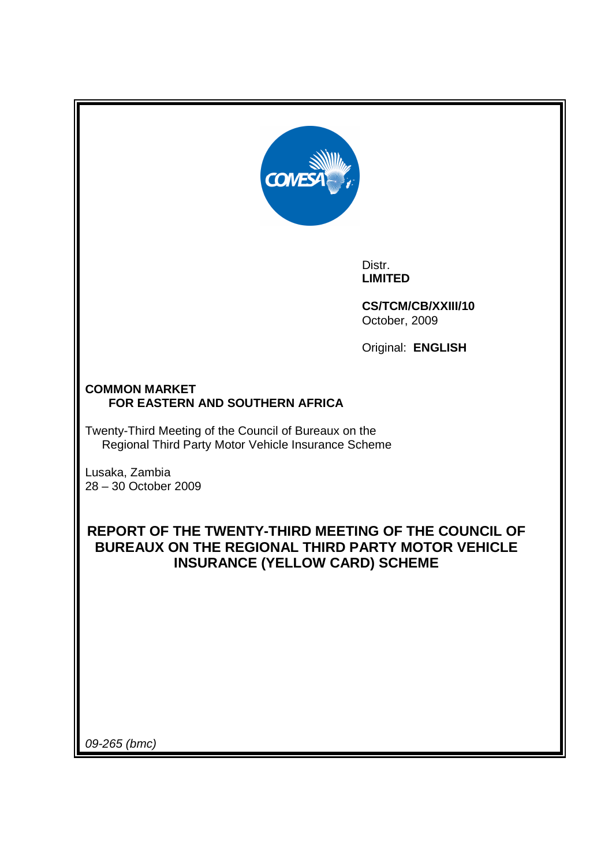

Distr. **LIMITED** 

**CS/TCM/CB/XXIII/10**  October, 2009

Original: **ENGLISH** 

## **COMMON MARKET FOR EASTERN AND SOUTHERN AFRICA**

Twenty-Third Meeting of the Council of Bureaux on the Regional Third Party Motor Vehicle Insurance Scheme

Lusaka, Zambia 28 – 30 October 2009

## **REPORT OF THE TWENTY-THIRD MEETING OF THE COUNCIL OF BUREAUX ON THE REGIONAL THIRD PARTY MOTOR VEHICLE INSURANCE (YELLOW CARD) SCHEME**

09-265 (bmc)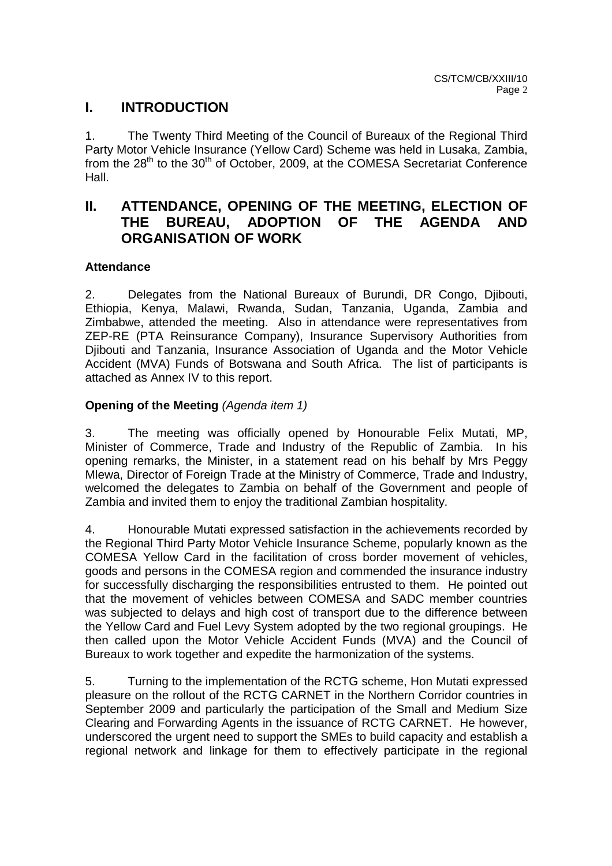## **I. INTRODUCTION**

1. The Twenty Third Meeting of the Council of Bureaux of the Regional Third Party Motor Vehicle Insurance (Yellow Card) Scheme was held in Lusaka, Zambia, from the  $28<sup>th</sup>$  to the  $30<sup>th</sup>$  of October, 2009, at the COMESA Secretariat Conference Hall.

## **II. ATTENDANCE, OPENING OF THE MEETING, ELECTION OF THE BUREAU, ADOPTION OF THE AGENDA AND ORGANISATION OF WORK**

## **Attendance**

2. Delegates from the National Bureaux of Burundi, DR Congo, Djibouti, Ethiopia, Kenya, Malawi, Rwanda, Sudan, Tanzania, Uganda, Zambia and Zimbabwe, attended the meeting. Also in attendance were representatives from ZEP-RE (PTA Reinsurance Company), Insurance Supervisory Authorities from Djibouti and Tanzania, Insurance Association of Uganda and the Motor Vehicle Accident (MVA) Funds of Botswana and South Africa. The list of participants is attached as Annex IV to this report.

## **Opening of the Meeting (Agenda item 1)**

3. The meeting was officially opened by Honourable Felix Mutati, MP, Minister of Commerce, Trade and Industry of the Republic of Zambia. In his opening remarks, the Minister, in a statement read on his behalf by Mrs Peggy Mlewa, Director of Foreign Trade at the Ministry of Commerce, Trade and Industry, welcomed the delegates to Zambia on behalf of the Government and people of Zambia and invited them to enjoy the traditional Zambian hospitality.

4. Honourable Mutati expressed satisfaction in the achievements recorded by the Regional Third Party Motor Vehicle Insurance Scheme, popularly known as the COMESA Yellow Card in the facilitation of cross border movement of vehicles, goods and persons in the COMESA region and commended the insurance industry for successfully discharging the responsibilities entrusted to them. He pointed out that the movement of vehicles between COMESA and SADC member countries was subjected to delays and high cost of transport due to the difference between the Yellow Card and Fuel Levy System adopted by the two regional groupings. He then called upon the Motor Vehicle Accident Funds (MVA) and the Council of Bureaux to work together and expedite the harmonization of the systems.

5. Turning to the implementation of the RCTG scheme, Hon Mutati expressed pleasure on the rollout of the RCTG CARNET in the Northern Corridor countries in September 2009 and particularly the participation of the Small and Medium Size Clearing and Forwarding Agents in the issuance of RCTG CARNET. He however, underscored the urgent need to support the SMEs to build capacity and establish a regional network and linkage for them to effectively participate in the regional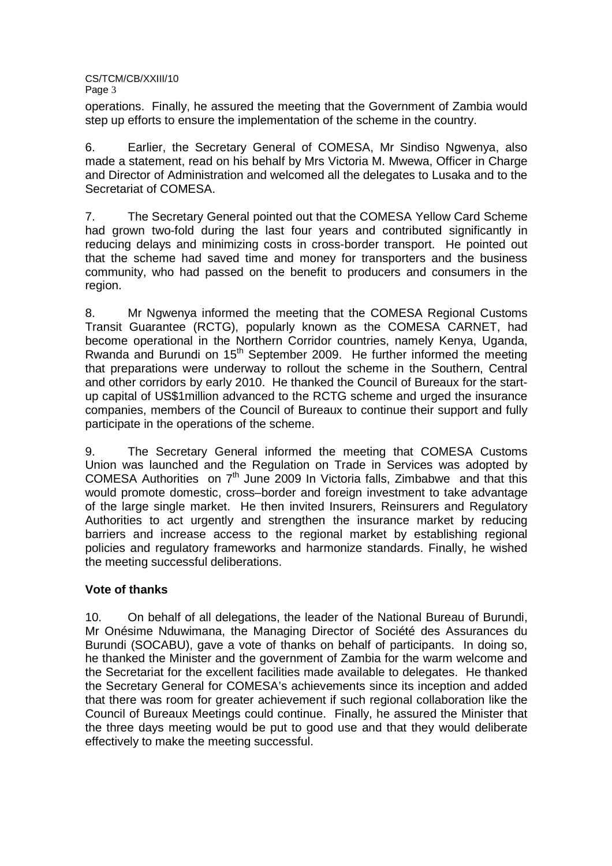operations. Finally, he assured the meeting that the Government of Zambia would step up efforts to ensure the implementation of the scheme in the country.

6. Earlier, the Secretary General of COMESA, Mr Sindiso Ngwenya, also made a statement, read on his behalf by Mrs Victoria M. Mwewa, Officer in Charge and Director of Administration and welcomed all the delegates to Lusaka and to the Secretariat of COMESA.

7. The Secretary General pointed out that the COMESA Yellow Card Scheme had grown two-fold during the last four years and contributed significantly in reducing delays and minimizing costs in cross-border transport. He pointed out that the scheme had saved time and money for transporters and the business community, who had passed on the benefit to producers and consumers in the region.

8. Mr Ngwenya informed the meeting that the COMESA Regional Customs Transit Guarantee (RCTG), popularly known as the COMESA CARNET, had become operational in the Northern Corridor countries, namely Kenya, Uganda, Rwanda and Burundi on 15<sup>th</sup> September 2009. He further informed the meeting that preparations were underway to rollout the scheme in the Southern, Central and other corridors by early 2010. He thanked the Council of Bureaux for the startup capital of US\$1million advanced to the RCTG scheme and urged the insurance companies, members of the Council of Bureaux to continue their support and fully participate in the operations of the scheme.

9. The Secretary General informed the meeting that COMESA Customs Union was launched and the Regulation on Trade in Services was adopted by COMESA Authorities on 7th June 2009 In Victoria falls, Zimbabwe and that this would promote domestic, cross–border and foreign investment to take advantage of the large single market. He then invited Insurers, Reinsurers and Regulatory Authorities to act urgently and strengthen the insurance market by reducing barriers and increase access to the regional market by establishing regional policies and regulatory frameworks and harmonize standards. Finally, he wished the meeting successful deliberations.

## **Vote of thanks**

10. On behalf of all delegations, the leader of the National Bureau of Burundi, Mr Onésime Nduwimana, the Managing Director of Société des Assurances du Burundi (SOCABU), gave a vote of thanks on behalf of participants. In doing so, he thanked the Minister and the government of Zambia for the warm welcome and the Secretariat for the excellent facilities made available to delegates. He thanked the Secretary General for COMESA's achievements since its inception and added that there was room for greater achievement if such regional collaboration like the Council of Bureaux Meetings could continue. Finally, he assured the Minister that the three days meeting would be put to good use and that they would deliberate effectively to make the meeting successful.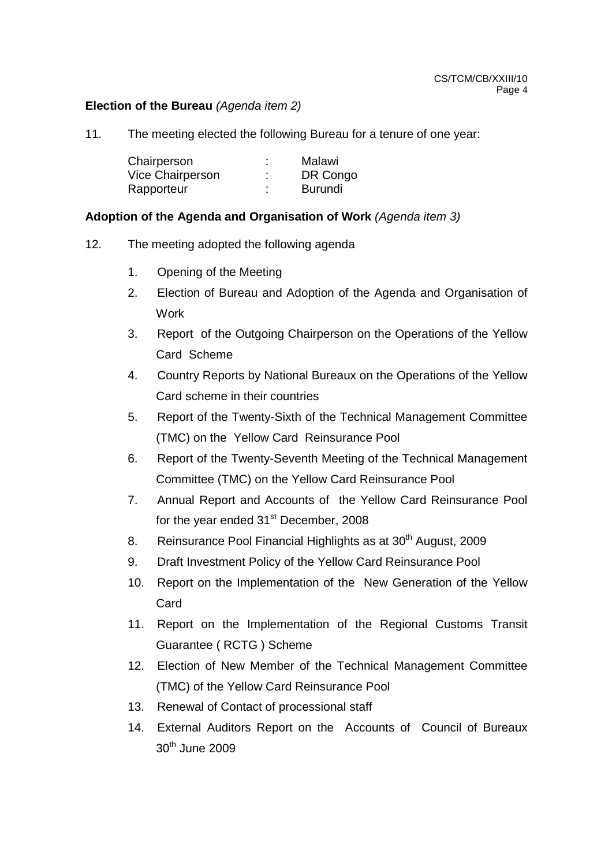## **Election of the Bureau** (Agenda item 2)

11. The meeting elected the following Bureau for a tenure of one year:

| Chairperson      | ٠ | Malawi   |
|------------------|---|----------|
| Vice Chairperson | ٠ | DR Congo |
| Rapporteur       | ٠ | Burundi  |

## **Adoption of the Agenda and Organisation of Work** (Agenda item 3)

- 12. The meeting adopted the following agenda
	- 1. Opening of the Meeting
	- 2. Election of Bureau and Adoption of the Agenda and Organisation of **Work**
	- 3. Report of the Outgoing Chairperson on the Operations of the Yellow Card Scheme
	- 4. Country Reports by National Bureaux on the Operations of the Yellow Card scheme in their countries
	- 5. Report of the Twenty-Sixth of the Technical Management Committee (TMC) on the Yellow Card Reinsurance Pool
	- 6. Report of the Twenty-Seventh Meeting of the Technical Management Committee (TMC) on the Yellow Card Reinsurance Pool
	- 7. Annual Report and Accounts of the Yellow Card Reinsurance Pool for the year ended 31<sup>st</sup> December, 2008
	- 8. Reinsurance Pool Financial Highlights as at 30<sup>th</sup> August, 2009
	- 9. Draft Investment Policy of the Yellow Card Reinsurance Pool
	- 10. Report on the Implementation of the New Generation of the Yellow Card
	- 11. Report on the Implementation of the Regional Customs Transit Guarantee ( RCTG ) Scheme
	- 12. Election of New Member of the Technical Management Committee (TMC) of the Yellow Card Reinsurance Pool
	- 13. Renewal of Contact of processional staff
	- 14. External Auditors Report on the Accounts of Council of Bureaux  $30<sup>th</sup>$  June 2009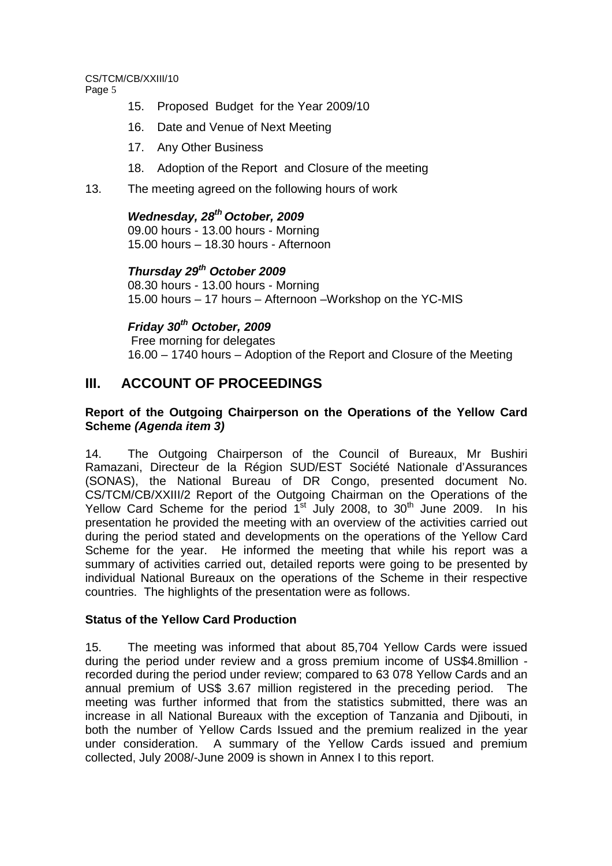# CS/TCM/CB/XXIII/10

Page 5

- 15. Proposed Budget for the Year 2009/10
- 16. Date and Venue of Next Meeting
- 17. Any Other Business
- 18. Adoption of the Report and Closure of the meeting
- 13. The meeting agreed on the following hours of work

**Wednesday, 28th October, 2009**  09.00 hours - 13.00 hours - Morning 15.00 hours – 18.30 hours - Afternoon

**Thursday 29th October 2009**  08.30 hours - 13.00 hours - Morning 15.00 hours – 17 hours – Afternoon –Workshop on the YC-MIS

**Friday 30th October, 2009**  Free morning for delegates 16.00 – 1740 hours – Adoption of the Report and Closure of the Meeting

# **III. ACCOUNT OF PROCEEDINGS**

## **Report of the Outgoing Chairperson on the Operations of the Yellow Card Scheme (Agenda item 3)**

14. The Outgoing Chairperson of the Council of Bureaux, Mr Bushiri Ramazani, Directeur de la Région SUD/EST Société Nationale d'Assurances (SONAS), the National Bureau of DR Congo, presented document No. CS/TCM/CB/XXIII/2 Report of the Outgoing Chairman on the Operations of the Yellow Card Scheme for the period  $1<sup>st</sup>$  July 2008, to 30<sup>th</sup> June 2009. In his presentation he provided the meeting with an overview of the activities carried out during the period stated and developments on the operations of the Yellow Card Scheme for the year. He informed the meeting that while his report was a summary of activities carried out, detailed reports were going to be presented by individual National Bureaux on the operations of the Scheme in their respective countries. The highlights of the presentation were as follows.

## **Status of the Yellow Card Production**

15. The meeting was informed that about 85,704 Yellow Cards were issued during the period under review and a gross premium income of US\$4.8million recorded during the period under review; compared to 63 078 Yellow Cards and an annual premium of US\$ 3.67 million registered in the preceding period. The meeting was further informed that from the statistics submitted, there was an increase in all National Bureaux with the exception of Tanzania and Djibouti, in both the number of Yellow Cards Issued and the premium realized in the year under consideration. A summary of the Yellow Cards issued and premium collected, July 2008/-June 2009 is shown in Annex I to this report.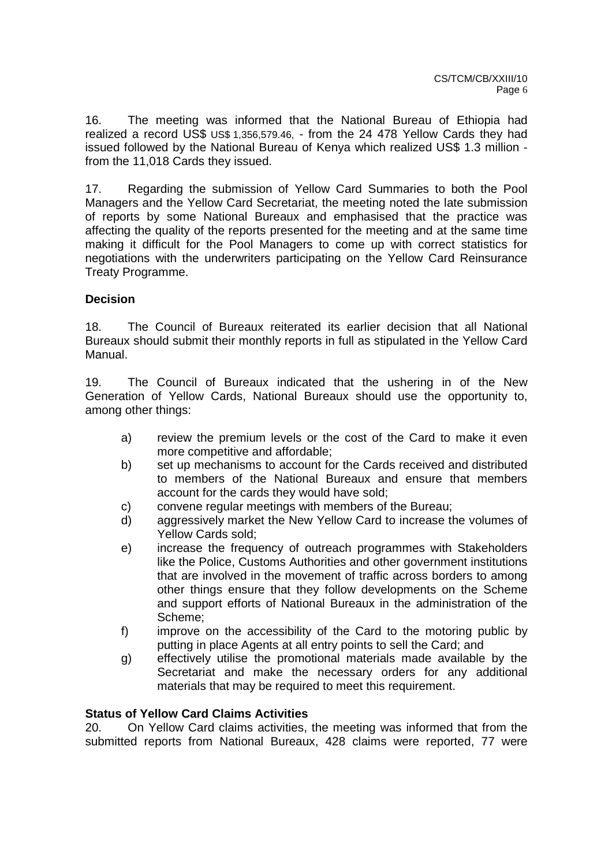16. The meeting was informed that the National Bureau of Ethiopia had realized a record US\$ US\$ 1,356,579.46, - from the 24 478 Yellow Cards they had issued followed by the National Bureau of Kenya which realized US\$ 1.3 million from the 11,018 Cards they issued.

17. Regarding the submission of Yellow Card Summaries to both the Pool Managers and the Yellow Card Secretariat, the meeting noted the late submission of reports by some National Bureaux and emphasised that the practice was affecting the quality of the reports presented for the meeting and at the same time making it difficult for the Pool Managers to come up with correct statistics for negotiations with the underwriters participating on the Yellow Card Reinsurance Treaty Programme.

## **Decision**

18. The Council of Bureaux reiterated its earlier decision that all National Bureaux should submit their monthly reports in full as stipulated in the Yellow Card Manual.

19. The Council of Bureaux indicated that the ushering in of the New Generation of Yellow Cards, National Bureaux should use the opportunity to, among other things:

- a) review the premium levels or the cost of the Card to make it even more competitive and affordable;
- b) set up mechanisms to account for the Cards received and distributed to members of the National Bureaux and ensure that members account for the cards they would have sold;
- c) convene regular meetings with members of the Bureau;
- d) aggressively market the New Yellow Card to increase the volumes of Yellow Cards sold;
- e) increase the frequency of outreach programmes with Stakeholders like the Police, Customs Authorities and other government institutions that are involved in the movement of traffic across borders to among other things ensure that they follow developments on the Scheme and support efforts of National Bureaux in the administration of the Scheme;
- f) improve on the accessibility of the Card to the motoring public by putting in place Agents at all entry points to sell the Card; and
- g) effectively utilise the promotional materials made available by the Secretariat and make the necessary orders for any additional materials that may be required to meet this requirement.

## **Status of Yellow Card Claims Activities**

20. On Yellow Card claims activities, the meeting was informed that from the submitted reports from National Bureaux, 428 claims were reported, 77 were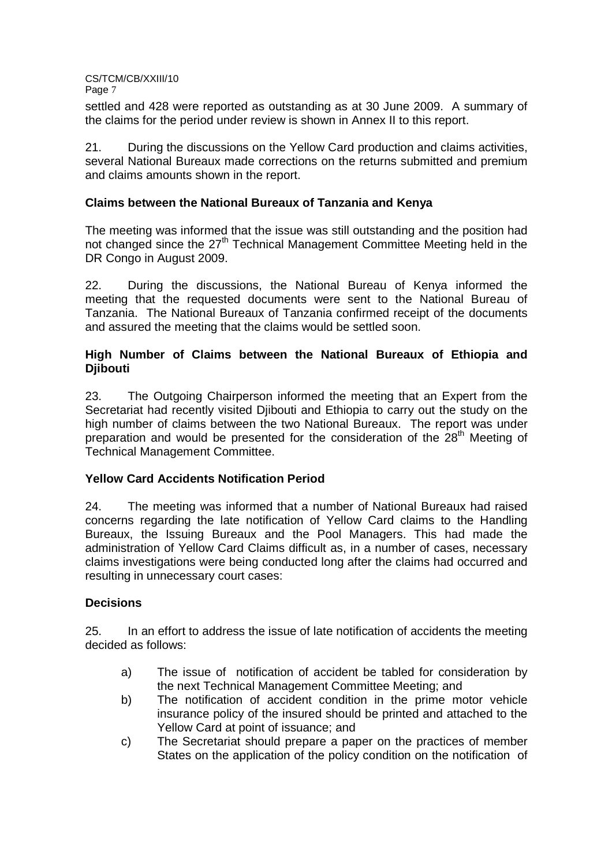settled and 428 were reported as outstanding as at 30 June 2009. A summary of the claims for the period under review is shown in Annex II to this report.

21. During the discussions on the Yellow Card production and claims activities, several National Bureaux made corrections on the returns submitted and premium and claims amounts shown in the report.

## **Claims between the National Bureaux of Tanzania and Kenya**

The meeting was informed that the issue was still outstanding and the position had not changed since the 27<sup>th</sup> Technical Management Committee Meeting held in the DR Congo in August 2009.

22. During the discussions, the National Bureau of Kenya informed the meeting that the requested documents were sent to the National Bureau of Tanzania. The National Bureaux of Tanzania confirmed receipt of the documents and assured the meeting that the claims would be settled soon.

## **High Number of Claims between the National Bureaux of Ethiopia and Djibouti**

23. The Outgoing Chairperson informed the meeting that an Expert from the Secretariat had recently visited Djibouti and Ethiopia to carry out the study on the high number of claims between the two National Bureaux. The report was under preparation and would be presented for the consideration of the  $28<sup>th</sup>$  Meeting of Technical Management Committee.

## **Yellow Card Accidents Notification Period**

24. The meeting was informed that a number of National Bureaux had raised concerns regarding the late notification of Yellow Card claims to the Handling Bureaux, the Issuing Bureaux and the Pool Managers. This had made the administration of Yellow Card Claims difficult as, in a number of cases, necessary claims investigations were being conducted long after the claims had occurred and resulting in unnecessary court cases:

## **Decisions**

25. In an effort to address the issue of late notification of accidents the meeting decided as follows:

- a) The issue of notification of accident be tabled for consideration by the next Technical Management Committee Meeting; and
- b) The notification of accident condition in the prime motor vehicle insurance policy of the insured should be printed and attached to the Yellow Card at point of issuance; and
- c) The Secretariat should prepare a paper on the practices of member States on the application of the policy condition on the notification of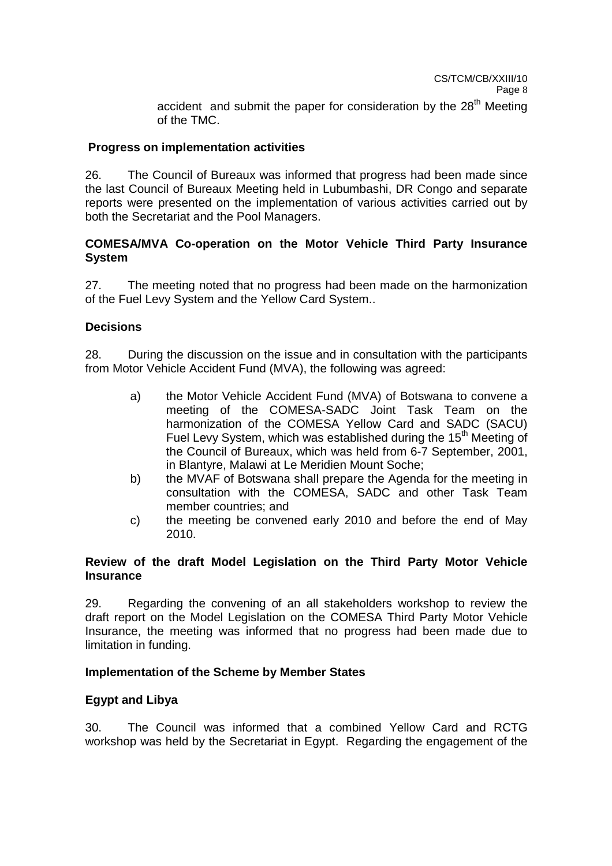## **Progress on implementation activities**

26. The Council of Bureaux was informed that progress had been made since the last Council of Bureaux Meeting held in Lubumbashi, DR Congo and separate reports were presented on the implementation of various activities carried out by both the Secretariat and the Pool Managers.

## **COMESA/MVA Co-operation on the Motor Vehicle Third Party Insurance System**

27. The meeting noted that no progress had been made on the harmonization of the Fuel Levy System and the Yellow Card System..

## **Decisions**

28. During the discussion on the issue and in consultation with the participants from Motor Vehicle Accident Fund (MVA), the following was agreed:

- a) the Motor Vehicle Accident Fund (MVA) of Botswana to convene a meeting of the COMESA-SADC Joint Task Team on the harmonization of the COMESA Yellow Card and SADC (SACU) Fuel Levy System, which was established during the  $15<sup>th</sup>$  Meeting of the Council of Bureaux, which was held from 6-7 September, 2001, in Blantyre, Malawi at Le Meridien Mount Soche;
- b) the MVAF of Botswana shall prepare the Agenda for the meeting in consultation with the COMESA, SADC and other Task Team member countries; and
- c) the meeting be convened early 2010 and before the end of May 2010.

## **Review of the draft Model Legislation on the Third Party Motor Vehicle Insurance**

29. Regarding the convening of an all stakeholders workshop to review the draft report on the Model Legislation on the COMESA Third Party Motor Vehicle Insurance, the meeting was informed that no progress had been made due to limitation in funding.

## **Implementation of the Scheme by Member States**

### **Egypt and Libya**

30. The Council was informed that a combined Yellow Card and RCTG workshop was held by the Secretariat in Egypt. Regarding the engagement of the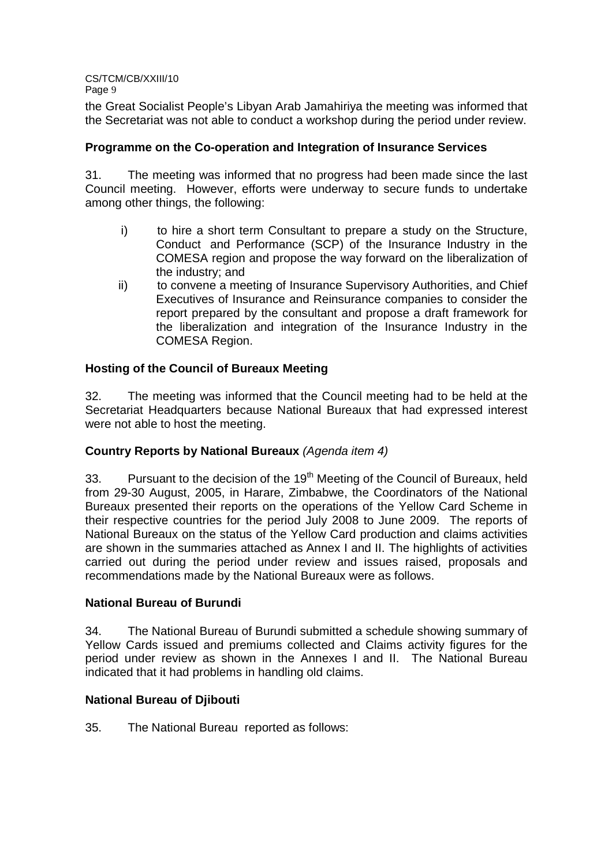the Great Socialist People's Libyan Arab Jamahiriya the meeting was informed that the Secretariat was not able to conduct a workshop during the period under review.

## **Programme on the Co-operation and Integration of Insurance Services**

31. The meeting was informed that no progress had been made since the last Council meeting. However, efforts were underway to secure funds to undertake among other things, the following:

- i) to hire a short term Consultant to prepare a study on the Structure, Conduct and Performance (SCP) of the Insurance Industry in the COMESA region and propose the way forward on the liberalization of the industry; and
- ii) to convene a meeting of Insurance Supervisory Authorities, and Chief Executives of Insurance and Reinsurance companies to consider the report prepared by the consultant and propose a draft framework for the liberalization and integration of the Insurance Industry in the COMESA Region.

## **Hosting of the Council of Bureaux Meeting**

32. The meeting was informed that the Council meeting had to be held at the Secretariat Headquarters because National Bureaux that had expressed interest were not able to host the meeting.

## **Country Reports by National Bureaux** (Agenda item 4)

33. Pursuant to the decision of the 19<sup>th</sup> Meeting of the Council of Bureaux, held from 29-30 August, 2005, in Harare, Zimbabwe, the Coordinators of the National Bureaux presented their reports on the operations of the Yellow Card Scheme in their respective countries for the period July 2008 to June 2009. The reports of National Bureaux on the status of the Yellow Card production and claims activities are shown in the summaries attached as Annex I and II. The highlights of activities carried out during the period under review and issues raised, proposals and recommendations made by the National Bureaux were as follows.

### **National Bureau of Burundi**

34. The National Bureau of Burundi submitted a schedule showing summary of Yellow Cards issued and premiums collected and Claims activity figures for the period under review as shown in the Annexes I and II. The National Bureau indicated that it had problems in handling old claims.

### **National Bureau of Djibouti**

35. The National Bureau reported as follows: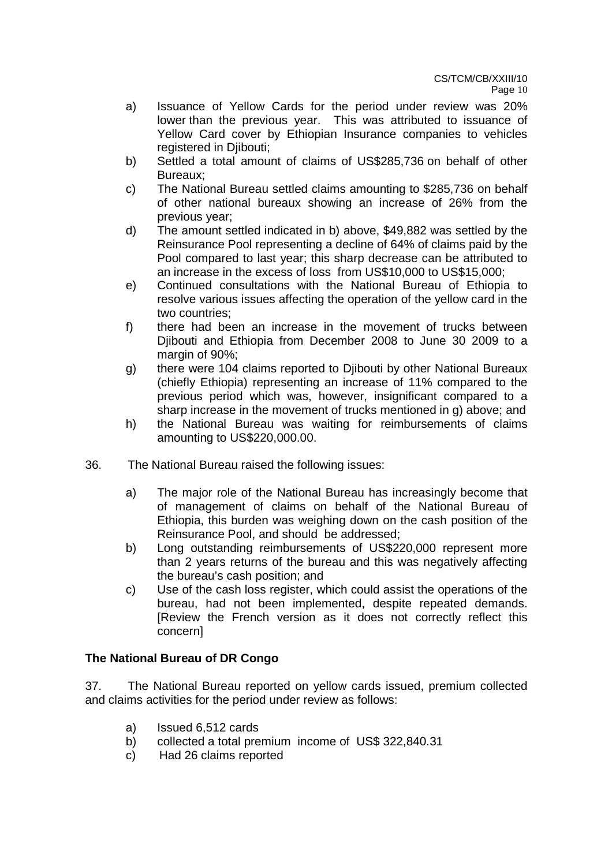- a) Issuance of Yellow Cards for the period under review was 20% lower than the previous year. This was attributed to issuance of Yellow Card cover by Ethiopian Insurance companies to vehicles registered in Djibouti;
- b) Settled a total amount of claims of US\$285,736 on behalf of other Bureaux;
- c) The National Bureau settled claims amounting to \$285,736 on behalf of other national bureaux showing an increase of 26% from the previous year;
- d) The amount settled indicated in b) above, \$49,882 was settled by the Reinsurance Pool representing a decline of 64% of claims paid by the Pool compared to last year; this sharp decrease can be attributed to an increase in the excess of loss from US\$10,000 to US\$15,000;
- e) Continued consultations with the National Bureau of Ethiopia to resolve various issues affecting the operation of the yellow card in the two countries;
- f) there had been an increase in the movement of trucks between Djibouti and Ethiopia from December 2008 to June 30 2009 to a margin of 90%;
- g) there were 104 claims reported to Djibouti by other National Bureaux (chiefly Ethiopia) representing an increase of 11% compared to the previous period which was, however, insignificant compared to a sharp increase in the movement of trucks mentioned in g) above; and
- h) the National Bureau was waiting for reimbursements of claims amounting to US\$220,000.00.
- 36. The National Bureau raised the following issues:
	- a) The major role of the National Bureau has increasingly become that of management of claims on behalf of the National Bureau of Ethiopia, this burden was weighing down on the cash position of the Reinsurance Pool, and should be addressed;
	- b) Long outstanding reimbursements of US\$220,000 represent more than 2 years returns of the bureau and this was negatively affecting the bureau's cash position; and
	- c) Use of the cash loss register, which could assist the operations of the bureau, had not been implemented, despite repeated demands. [Review the French version as it does not correctly reflect this concern]

## **The National Bureau of DR Congo**

37. The National Bureau reported on yellow cards issued, premium collected and claims activities for the period under review as follows:

- a) Issued 6,512 cards
- b) collected a total premium income of US\$ 322,840.31
- c) Had 26 claims reported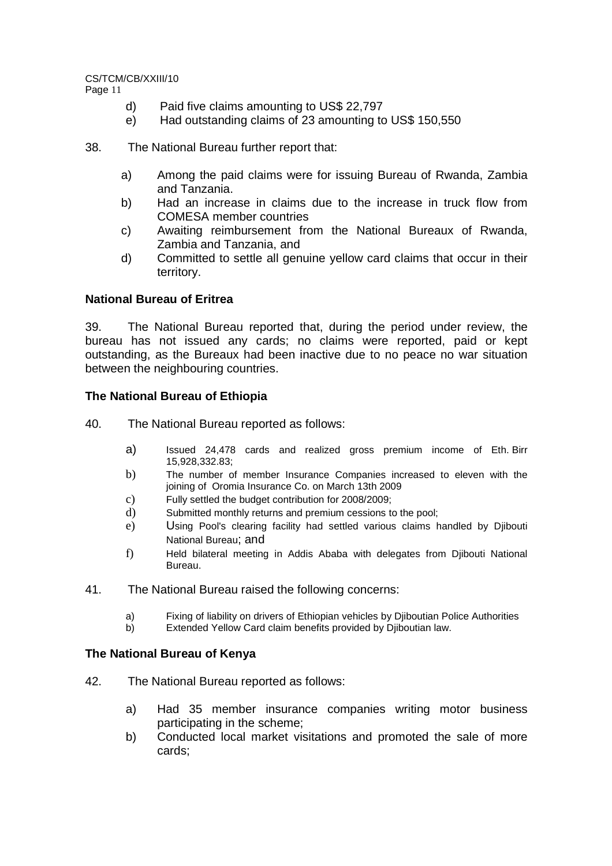- d) Paid five claims amounting to US\$ 22,797
- e) Had outstanding claims of 23 amounting to US\$ 150,550
- 38. The National Bureau further report that:
	- a) Among the paid claims were for issuing Bureau of Rwanda, Zambia and Tanzania.
	- b) Had an increase in claims due to the increase in truck flow from COMESA member countries
	- c) Awaiting reimbursement from the National Bureaux of Rwanda, Zambia and Tanzania, and
	- d) Committed to settle all genuine yellow card claims that occur in their territory.

## **National Bureau of Eritrea**

39. The National Bureau reported that, during the period under review, the bureau has not issued any cards; no claims were reported, paid or kept outstanding, as the Bureaux had been inactive due to no peace no war situation between the neighbouring countries.

## **The National Bureau of Ethiopia**

- 40. The National Bureau reported as follows:
	- a) Issued 24,478 cards and realized gross premium income of Eth. Birr 15,928,332.83;
	- b) The number of member Insurance Companies increased to eleven with the joining of Oromia Insurance Co. on March 13th 2009
	- c) Fully settled the budget contribution for 2008/2009;
	- d) Submitted monthly returns and premium cessions to the pool;
	- e) Using Pool's clearing facility had settled various claims handled by Djibouti National Bureau; and
	- f) Held bilateral meeting in Addis Ababa with delegates from Djibouti National Bureau.
- 41. The National Bureau raised the following concerns:
	- a) Fixing of liability on drivers of Ethiopian vehicles by Djiboutian Police Authorities
	- b) Extended Yellow Card claim benefits provided by Djiboutian law.

### **The National Bureau of Kenya**

- 42. The National Bureau reported as follows:
	- a) Had 35 member insurance companies writing motor business participating in the scheme;
	- b) Conducted local market visitations and promoted the sale of more cards;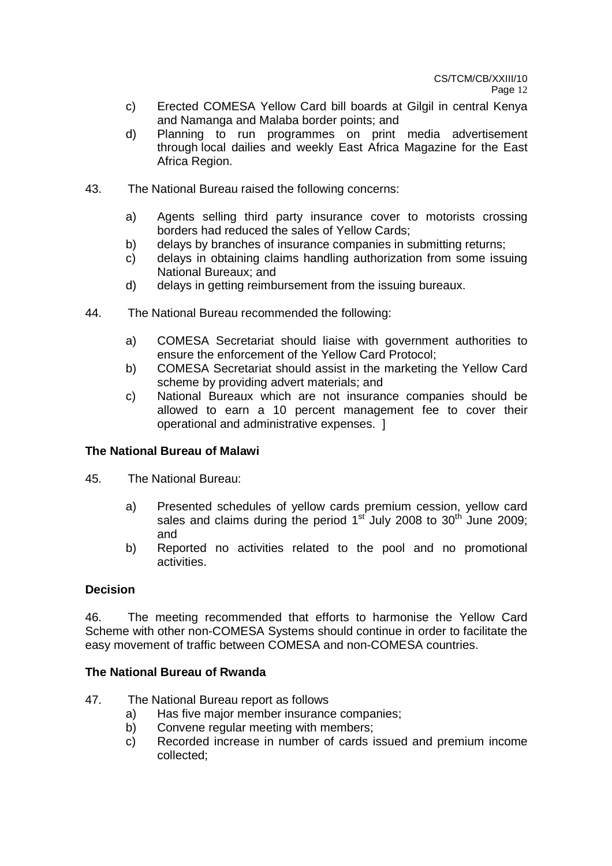- c) Erected COMESA Yellow Card bill boards at Gilgil in central Kenya and Namanga and Malaba border points; and
- d) Planning to run programmes on print media advertisement through local dailies and weekly East Africa Magazine for the East Africa Region.
- 43. The National Bureau raised the following concerns:
	- a) Agents selling third party insurance cover to motorists crossing borders had reduced the sales of Yellow Cards;
	- b) delays by branches of insurance companies in submitting returns;
	- c) delays in obtaining claims handling authorization from some issuing National Bureaux; and
	- d) delays in getting reimbursement from the issuing bureaux.
- 44. The National Bureau recommended the following:
	- a) COMESA Secretariat should liaise with government authorities to ensure the enforcement of the Yellow Card Protocol;
	- b) COMESA Secretariat should assist in the marketing the Yellow Card scheme by providing advert materials; and
	- c) National Bureaux which are not insurance companies should be allowed to earn a 10 percent management fee to cover their operational and administrative expenses. ]

### **The National Bureau of Malawi**

- 45. The National Bureau:
	- a) Presented schedules of yellow cards premium cession, yellow card sales and claims during the period  $1<sup>st</sup>$  July 2008 to  $30<sup>th</sup>$  June 2009; and
	- b) Reported no activities related to the pool and no promotional activities.

### **Decision**

46. The meeting recommended that efforts to harmonise the Yellow Card Scheme with other non-COMESA Systems should continue in order to facilitate the easy movement of traffic between COMESA and non-COMESA countries.

### **The National Bureau of Rwanda**

- 47. The National Bureau report as follows
	- a) Has five major member insurance companies;
	- b) Convene regular meeting with members;
	- c) Recorded increase in number of cards issued and premium income collected;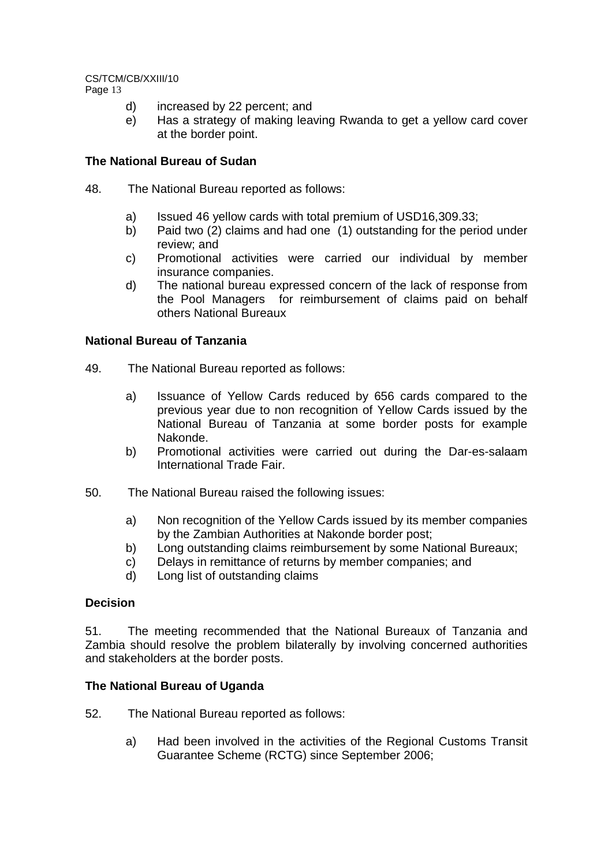- d) increased by 22 percent; and
- e) Has a strategy of making leaving Rwanda to get a yellow card cover at the border point.

## **The National Bureau of Sudan**

- 48. The National Bureau reported as follows:
	- a) Issued 46 yellow cards with total premium of USD16,309.33;
	- b) Paid two (2) claims and had one (1) outstanding for the period under review; and
	- c) Promotional activities were carried our individual by member insurance companies.
	- d) The national bureau expressed concern of the lack of response from the Pool Managers for reimbursement of claims paid on behalf others National Bureaux

## **National Bureau of Tanzania**

- 49. The National Bureau reported as follows:
	- a) Issuance of Yellow Cards reduced by 656 cards compared to the previous year due to non recognition of Yellow Cards issued by the National Bureau of Tanzania at some border posts for example Nakonde.
	- b) Promotional activities were carried out during the Dar-es-salaam International Trade Fair.
- 50. The National Bureau raised the following issues:
	- a) Non recognition of the Yellow Cards issued by its member companies by the Zambian Authorities at Nakonde border post;
	- b) Long outstanding claims reimbursement by some National Bureaux;
	- c) Delays in remittance of returns by member companies; and
	- d) Long list of outstanding claims

## **Decision**

51. The meeting recommended that the National Bureaux of Tanzania and Zambia should resolve the problem bilaterally by involving concerned authorities and stakeholders at the border posts.

### **The National Bureau of Uganda**

52. The National Bureau reported as follows:

a) Had been involved in the activities of the Regional Customs Transit Guarantee Scheme (RCTG) since September 2006;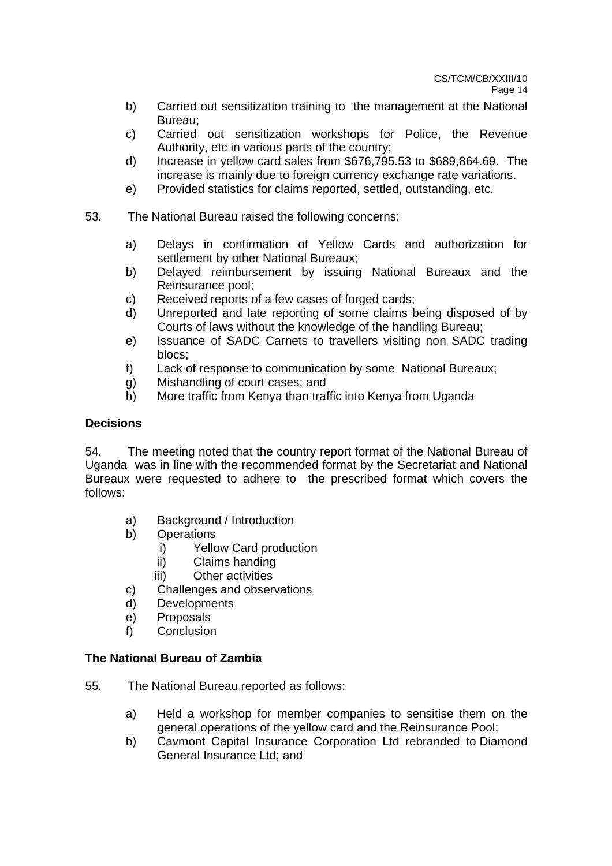Page 14

- b) Carried out sensitization training to the management at the National Bureau;
- c) Carried out sensitization workshops for Police, the Revenue Authority, etc in various parts of the country;
- d) Increase in yellow card sales from \$676,795.53 to \$689,864.69. The increase is mainly due to foreign currency exchange rate variations.
- e) Provided statistics for claims reported, settled, outstanding, etc.
- 53. The National Bureau raised the following concerns:
	- a) Delays in confirmation of Yellow Cards and authorization for settlement by other National Bureaux;
	- b) Delayed reimbursement by issuing National Bureaux and the Reinsurance pool;
	- c) Received reports of a few cases of forged cards;
	- d) Unreported and late reporting of some claims being disposed of by Courts of laws without the knowledge of the handling Bureau;
	- e) Issuance of SADC Carnets to travellers visiting non SADC trading blocs;
	- f) Lack of response to communication by some National Bureaux;
	- g) Mishandling of court cases; and
	- h) More traffic from Kenya than traffic into Kenya from Uganda

## **Decisions**

54. The meeting noted that the country report format of the National Bureau of Uganda was in line with the recommended format by the Secretariat and National Bureaux were requested to adhere to the prescribed format which covers the follows:

- a) Background / Introduction
- b) Operations
	- i) Yellow Card production
	- ii) Claims handing
	- iii) Other activities
- c) Challenges and observations
- d) Developments
- e) Proposals
- f) Conclusion

## **The National Bureau of Zambia**

- 55. The National Bureau reported as follows:
	- a) Held a workshop for member companies to sensitise them on the general operations of the yellow card and the Reinsurance Pool;
	- b) Cavmont Capital Insurance Corporation Ltd rebranded to Diamond General Insurance Ltd; and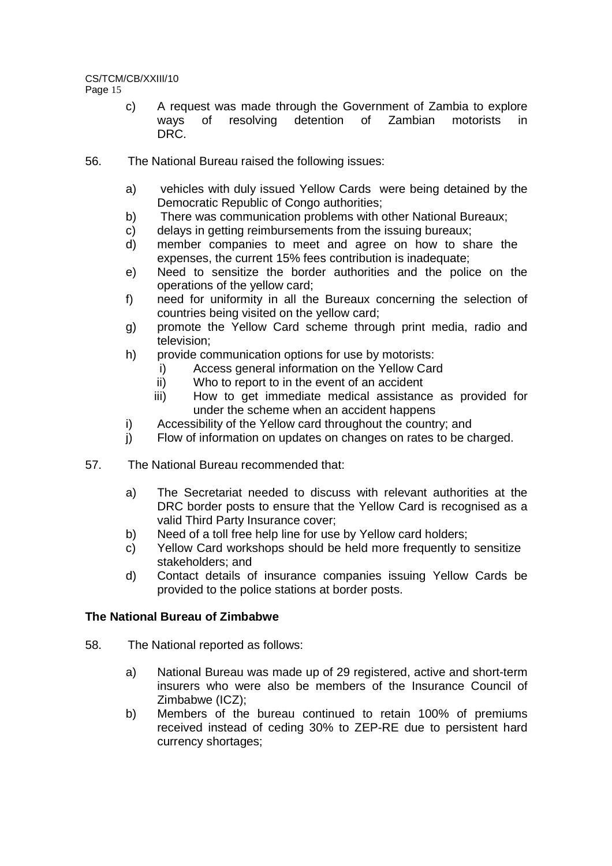- c) A request was made through the Government of Zambia to explore ways of resolving detention of Zambian motorists in DRC.
- 56. The National Bureau raised the following issues:
	- a) vehicles with duly issued Yellow Cards were being detained by the Democratic Republic of Congo authorities;
	- b) There was communication problems with other National Bureaux;
	- c) delays in getting reimbursements from the issuing bureaux;
	- d) member companies to meet and agree on how to share the expenses, the current 15% fees contribution is inadequate;
	- e) Need to sensitize the border authorities and the police on the operations of the yellow card;
	- f) need for uniformity in all the Bureaux concerning the selection of countries being visited on the yellow card;
	- g) promote the Yellow Card scheme through print media, radio and television;
	- h) provide communication options for use by motorists:
		- i) Access general information on the Yellow Card
		- ii) Who to report to in the event of an accident
		- iii) How to get immediate medical assistance as provided for under the scheme when an accident happens
	- i) Accessibility of the Yellow card throughout the country; and
	- j) Flow of information on updates on changes on rates to be charged.
- 57. The National Bureau recommended that:
	- a) The Secretariat needed to discuss with relevant authorities at the DRC border posts to ensure that the Yellow Card is recognised as a valid Third Party Insurance cover;
	- b) Need of a toll free help line for use by Yellow card holders;
	- c) Yellow Card workshops should be held more frequently to sensitize stakeholders; and
	- d) Contact details of insurance companies issuing Yellow Cards be provided to the police stations at border posts.

## **The National Bureau of Zimbabwe**

- 58. The National reported as follows:
	- a) National Bureau was made up of 29 registered, active and short-term insurers who were also be members of the Insurance Council of Zimbabwe (ICZ);
	- b) Members of the bureau continued to retain 100% of premiums received instead of ceding 30% to ZEP-RE due to persistent hard currency shortages;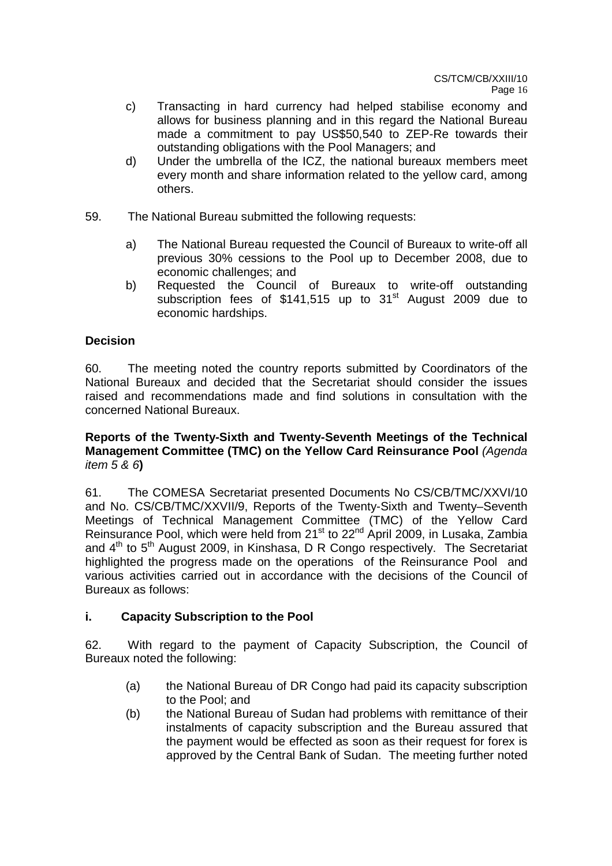- c) Transacting in hard currency had helped stabilise economy and allows for business planning and in this regard the National Bureau made a commitment to pay US\$50,540 to ZEP-Re towards their outstanding obligations with the Pool Managers; and
- d) Under the umbrella of the ICZ, the national bureaux members meet every month and share information related to the yellow card, among others.
- 59. The National Bureau submitted the following requests:
	- a) The National Bureau requested the Council of Bureaux to write-off all previous 30% cessions to the Pool up to December 2008, due to economic challenges; and
	- b) Requested the Council of Bureaux to write-off outstanding subscription fees of  $$141,515$  up to  $31<sup>st</sup>$  August 2009 due to economic hardships.

## **Decision**

60. The meeting noted the country reports submitted by Coordinators of the National Bureaux and decided that the Secretariat should consider the issues raised and recommendations made and find solutions in consultation with the concerned National Bureaux.

## **Reports of the Twenty-Sixth and Twenty-Seventh Meetings of the Technical Management Committee (TMC) on the Yellow Card Reinsurance Pool** (Agenda item 5 & 6**)**

61. The COMESA Secretariat presented Documents No CS/CB/TMC/XXVI/10 and No. CS/CB/TMC/XXVII/9, Reports of the Twenty-Sixth and Twenty–Seventh Meetings of Technical Management Committee (TMC) of the Yellow Card Reinsurance Pool, which were held from 21<sup>st</sup> to 22<sup>nd</sup> April 2009, in Lusaka, Zambia and  $4<sup>th</sup>$  to  $5<sup>th</sup>$  August 2009, in Kinshasa, D R Congo respectively. The Secretariat highlighted the progress made on the operations of the Reinsurance Pool and various activities carried out in accordance with the decisions of the Council of Bureaux as follows:

## **i. Capacity Subscription to the Pool**

62. With regard to the payment of Capacity Subscription, the Council of Bureaux noted the following:

- (a) the National Bureau of DR Congo had paid its capacity subscription to the Pool; and
- (b) the National Bureau of Sudan had problems with remittance of their instalments of capacity subscription and the Bureau assured that the payment would be effected as soon as their request for forex is approved by the Central Bank of Sudan. The meeting further noted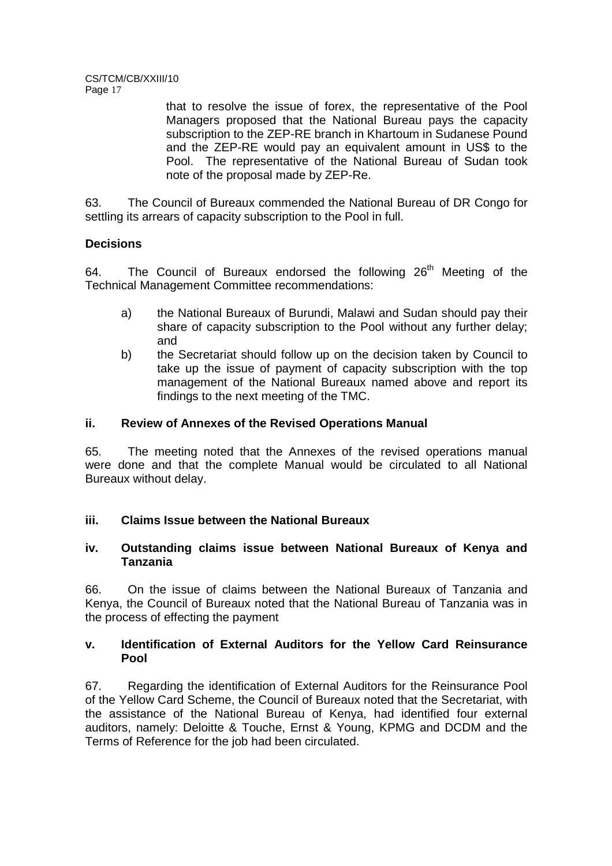that to resolve the issue of forex, the representative of the Pool Managers proposed that the National Bureau pays the capacity subscription to the ZEP-RE branch in Khartoum in Sudanese Pound and the ZEP-RE would pay an equivalent amount in US\$ to the Pool. The representative of the National Bureau of Sudan took note of the proposal made by ZEP-Re.

63. The Council of Bureaux commended the National Bureau of DR Congo for settling its arrears of capacity subscription to the Pool in full.

## **Decisions**

64. The Council of Bureaux endorsed the following  $26<sup>th</sup>$  Meeting of the Technical Management Committee recommendations:

- a) the National Bureaux of Burundi, Malawi and Sudan should pay their share of capacity subscription to the Pool without any further delay; and
- b) the Secretariat should follow up on the decision taken by Council to take up the issue of payment of capacity subscription with the top management of the National Bureaux named above and report its findings to the next meeting of the TMC.

## **ii. Review of Annexes of the Revised Operations Manual**

65. The meeting noted that the Annexes of the revised operations manual were done and that the complete Manual would be circulated to all National Bureaux without delay.

## **iii. Claims Issue between the National Bureaux**

## **iv. Outstanding claims issue between National Bureaux of Kenya and Tanzania**

66. On the issue of claims between the National Bureaux of Tanzania and Kenya, the Council of Bureaux noted that the National Bureau of Tanzania was in the process of effecting the payment

## **v. Identification of External Auditors for the Yellow Card Reinsurance Pool**

67. Regarding the identification of External Auditors for the Reinsurance Pool of the Yellow Card Scheme, the Council of Bureaux noted that the Secretariat, with the assistance of the National Bureau of Kenya, had identified four external auditors, namely: Deloitte & Touche, Ernst & Young, KPMG and DCDM and the Terms of Reference for the job had been circulated.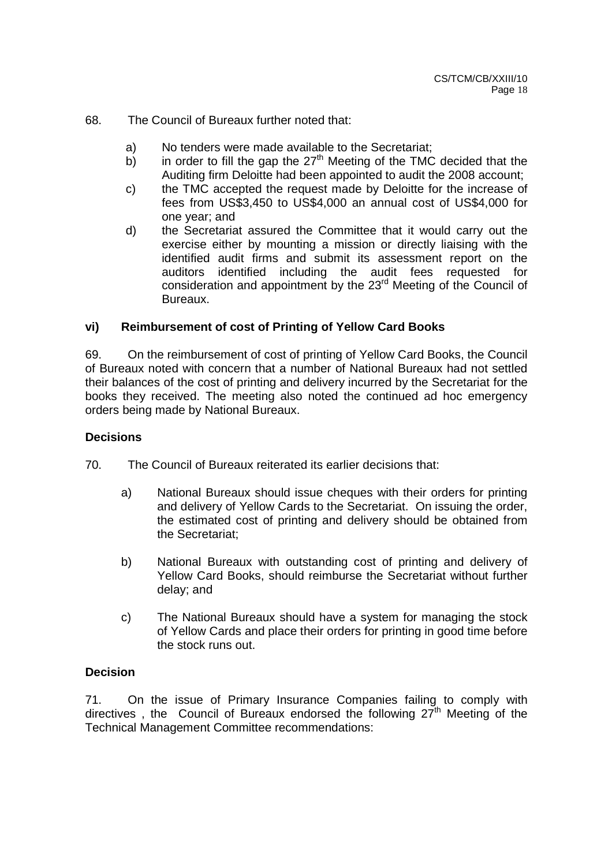## 68. The Council of Bureaux further noted that:

- a) No tenders were made available to the Secretariat;
- b) in order to fill the gap the  $27<sup>th</sup>$  Meeting of the TMC decided that the Auditing firm Deloitte had been appointed to audit the 2008 account;
- c) the TMC accepted the request made by Deloitte for the increase of fees from US\$3,450 to US\$4,000 an annual cost of US\$4,000 for one year; and
- d) the Secretariat assured the Committee that it would carry out the exercise either by mounting a mission or directly liaising with the identified audit firms and submit its assessment report on the auditors identified including the audit fees requested for consideration and appointment by the 23<sup>rd</sup> Meeting of the Council of Bureaux.

## **vi) Reimbursement of cost of Printing of Yellow Card Books**

69. On the reimbursement of cost of printing of Yellow Card Books, the Council of Bureaux noted with concern that a number of National Bureaux had not settled their balances of the cost of printing and delivery incurred by the Secretariat for the books they received. The meeting also noted the continued ad hoc emergency orders being made by National Bureaux.

### **Decisions**

70. The Council of Bureaux reiterated its earlier decisions that:

- a) National Bureaux should issue cheques with their orders for printing and delivery of Yellow Cards to the Secretariat. On issuing the order, the estimated cost of printing and delivery should be obtained from the Secretariat;
- b) National Bureaux with outstanding cost of printing and delivery of Yellow Card Books, should reimburse the Secretariat without further delay; and
- c) The National Bureaux should have a system for managing the stock of Yellow Cards and place their orders for printing in good time before the stock runs out.

## **Decision**

71. On the issue of Primary Insurance Companies failing to comply with directives, the Council of Bureaux endorsed the following 27<sup>th</sup> Meeting of the Technical Management Committee recommendations: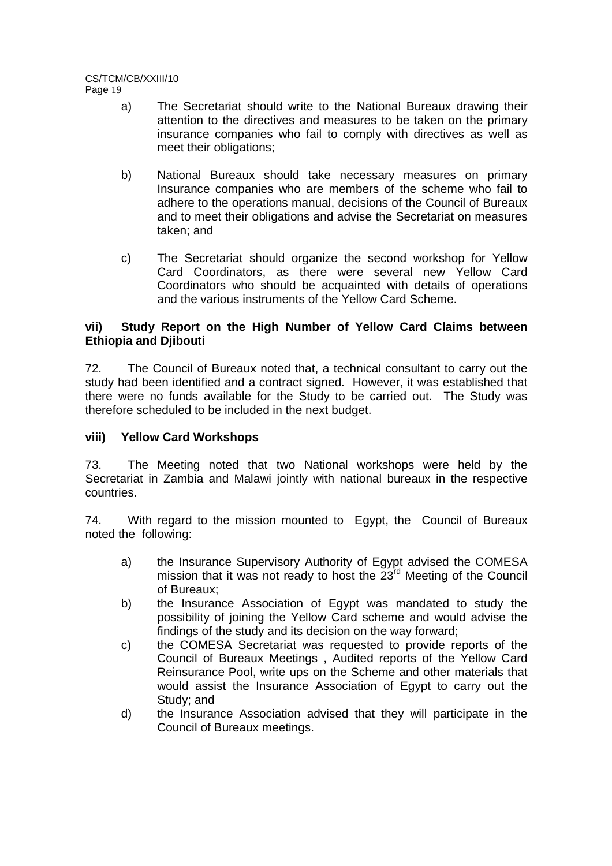- a) The Secretariat should write to the National Bureaux drawing their attention to the directives and measures to be taken on the primary insurance companies who fail to comply with directives as well as meet their obligations;
- b) National Bureaux should take necessary measures on primary Insurance companies who are members of the scheme who fail to adhere to the operations manual, decisions of the Council of Bureaux and to meet their obligations and advise the Secretariat on measures taken; and
- c) The Secretariat should organize the second workshop for Yellow Card Coordinators, as there were several new Yellow Card Coordinators who should be acquainted with details of operations and the various instruments of the Yellow Card Scheme.

## **vii) Study Report on the High Number of Yellow Card Claims between Ethiopia and Djibouti**

72. The Council of Bureaux noted that, a technical consultant to carry out the study had been identified and a contract signed. However, it was established that there were no funds available for the Study to be carried out. The Study was therefore scheduled to be included in the next budget.

## **viii) Yellow Card Workshops**

73. The Meeting noted that two National workshops were held by the Secretariat in Zambia and Malawi jointly with national bureaux in the respective countries.

74. With regard to the mission mounted to Egypt, the Council of Bureaux noted the following:

- a) the Insurance Supervisory Authority of Egypt advised the COMESA mission that it was not ready to host the  $23<sup>rd</sup>$  Meeting of the Council of Bureaux;
- b) the Insurance Association of Egypt was mandated to study the possibility of joining the Yellow Card scheme and would advise the findings of the study and its decision on the way forward;
- c) the COMESA Secretariat was requested to provide reports of the Council of Bureaux Meetings , Audited reports of the Yellow Card Reinsurance Pool, write ups on the Scheme and other materials that would assist the Insurance Association of Egypt to carry out the Study; and
- d) the Insurance Association advised that they will participate in the Council of Bureaux meetings.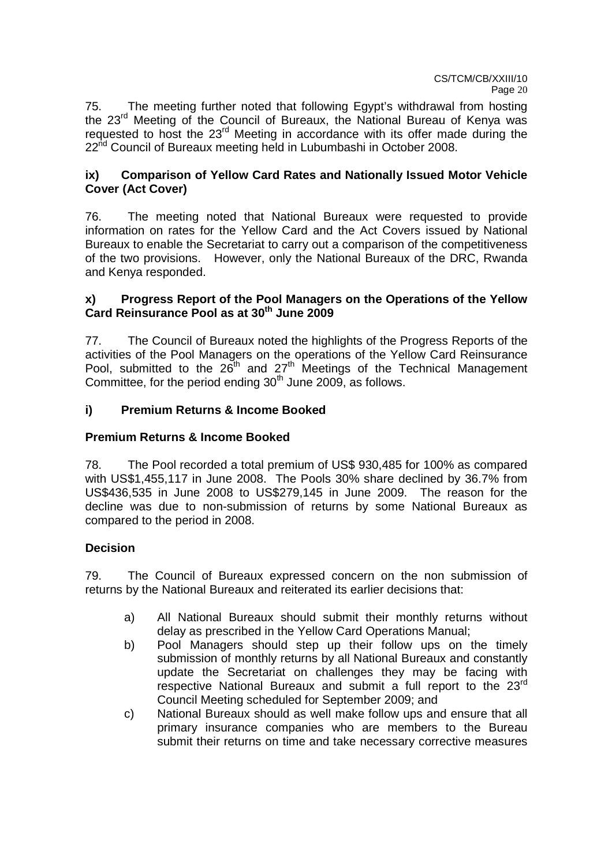75. The meeting further noted that following Egypt's withdrawal from hosting the 23rd Meeting of the Council of Bureaux, the National Bureau of Kenya was requested to host the 23<sup>rd</sup> Meeting in accordance with its offer made during the 22<sup>nd</sup> Council of Bureaux meeting held in Lubumbashi in October 2008.

## **ix) Comparison of Yellow Card Rates and Nationally Issued Motor Vehicle Cover (Act Cover)**

76. The meeting noted that National Bureaux were requested to provide information on rates for the Yellow Card and the Act Covers issued by National Bureaux to enable the Secretariat to carry out a comparison of the competitiveness of the two provisions. However, only the National Bureaux of the DRC, Rwanda and Kenya responded.

## **x) Progress Report of the Pool Managers on the Operations of the Yellow Card Reinsurance Pool as at 30th June 2009**

77. The Council of Bureaux noted the highlights of the Progress Reports of the activities of the Pool Managers on the operations of the Yellow Card Reinsurance Pool, submitted to the 26th and 27th Meetings of the Technical Management Committee, for the period ending 30<sup>th</sup> June 2009, as follows.

## **i) Premium Returns & Income Booked**

## **Premium Returns & Income Booked**

78. The Pool recorded a total premium of US\$ 930,485 for 100% as compared with US\$1,455,117 in June 2008. The Pools 30% share declined by 36.7% from US\$436,535 in June 2008 to US\$279,145 in June 2009. The reason for the decline was due to non-submission of returns by some National Bureaux as compared to the period in 2008.

## **Decision**

79. The Council of Bureaux expressed concern on the non submission of returns by the National Bureaux and reiterated its earlier decisions that:

- a) All National Bureaux should submit their monthly returns without delay as prescribed in the Yellow Card Operations Manual;
- b) Pool Managers should step up their follow ups on the timely submission of monthly returns by all National Bureaux and constantly update the Secretariat on challenges they may be facing with respective National Bureaux and submit a full report to the 23<sup>rd</sup> Council Meeting scheduled for September 2009; and
- c) National Bureaux should as well make follow ups and ensure that all primary insurance companies who are members to the Bureau submit their returns on time and take necessary corrective measures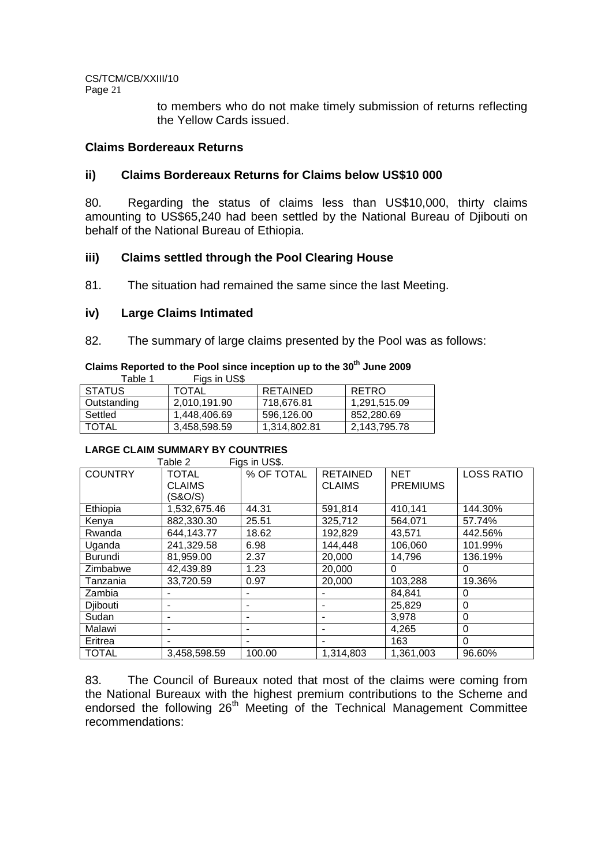> to members who do not make timely submission of returns reflecting the Yellow Cards issued.

## **Claims Bordereaux Returns**

## **ii) Claims Bordereaux Returns for Claims below US\$10 000**

80. Regarding the status of claims less than US\$10,000, thirty claims amounting to US\$65,240 had been settled by the National Bureau of Djibouti on behalf of the National Bureau of Ethiopia.

## **iii) Claims settled through the Pool Clearing House**

81. The situation had remained the same since the last Meeting.

### **iv) Large Claims Intimated**

82. The summary of large claims presented by the Pool was as follows:

## **Claims Reported to the Pool since inception up to the 30th June 2009**

Table 1 Figs in US\$

| <b>STATUS</b> | <b>TOTAL</b> | <b>RETAINED</b> | <b>RETRO</b> |
|---------------|--------------|-----------------|--------------|
| Outstanding   | 2,010,191.90 | 718.676.81      | 1,291,515.09 |
| Settled       | 1.448.406.69 | 596.126.00      | 852.280.69   |
| <b>TOTAL</b>  | 3,458,598.59 | 1,314,802.81    | 2,143,795.78 |

# **LARGE CLAIM SUMMARY BY COUNTRIES**

| Figs in US\$.<br>Table 2 |               |            |                 |                 |                   |  |  |  |  |
|--------------------------|---------------|------------|-----------------|-----------------|-------------------|--|--|--|--|
| <b>COUNTRY</b>           | <b>TOTAL</b>  | % OF TOTAL | <b>RETAINED</b> | <b>NET</b>      | <b>LOSS RATIO</b> |  |  |  |  |
|                          | <b>CLAIMS</b> |            | <b>CLAIMS</b>   | <b>PREMIUMS</b> |                   |  |  |  |  |
|                          | (S&O/S)       |            |                 |                 |                   |  |  |  |  |
| Ethiopia                 | 1,532,675.46  | 44.31      | 591,814         | 410,141         | 144.30%           |  |  |  |  |
| Kenya                    | 882.330.30    | 25.51      | 325,712         | 564,071         | 57.74%            |  |  |  |  |
| Rwanda                   | 644.143.77    | 18.62      | 192,829         | 43,571          | 442.56%           |  |  |  |  |
| Uganda                   | 241,329.58    | 6.98       | 144.448         | 106.060         | 101.99%           |  |  |  |  |
| Burundi                  | 81.959.00     | 2.37       | 20,000          | 14.796          | 136.19%           |  |  |  |  |
| Zimbabwe                 | 42,439.89     | 1.23       | 20,000          | 0               | 0                 |  |  |  |  |
| Tanzania                 | 33,720.59     | 0.97       | 20,000          | 103,288         | 19.36%            |  |  |  |  |
| Zambia                   |               |            |                 | 84.841          | 0                 |  |  |  |  |
| Djibouti                 |               |            |                 | 25,829          | 0                 |  |  |  |  |
| Sudan                    |               |            |                 | 3,978           | 0                 |  |  |  |  |
| Malawi                   |               |            |                 | 4,265           | 0                 |  |  |  |  |
| Eritrea                  |               |            |                 | 163             | $\Omega$          |  |  |  |  |
| <b>TOTAL</b>             | 3.458.598.59  | 100.00     | 1,314,803       | 1,361,003       | 96.60%            |  |  |  |  |

83. The Council of Bureaux noted that most of the claims were coming from the National Bureaux with the highest premium contributions to the Scheme and endorsed the following 26<sup>th</sup> Meeting of the Technical Management Committee recommendations: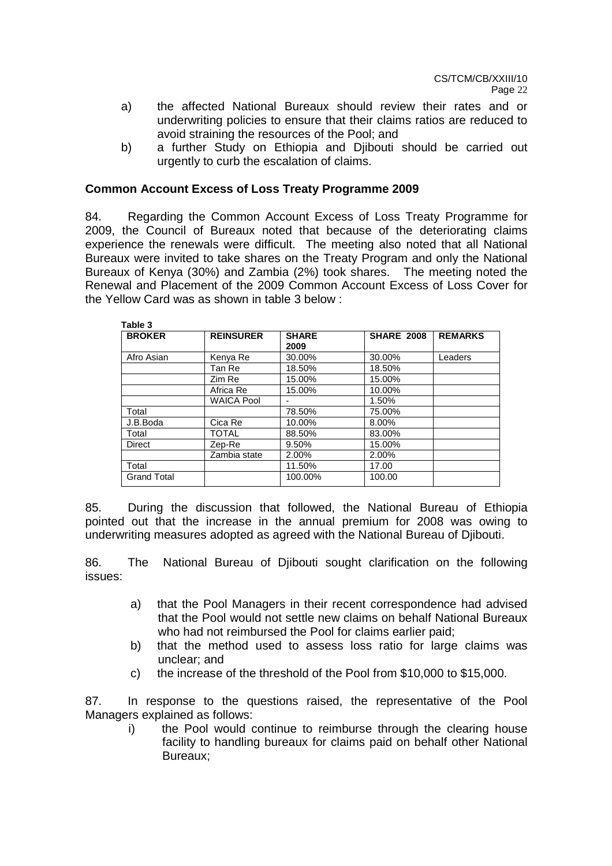- a) the affected National Bureaux should review their rates and or underwriting policies to ensure that their claims ratios are reduced to avoid straining the resources of the Pool; and
- b) a further Study on Ethiopia and Djibouti should be carried out urgently to curb the escalation of claims.

## **Common Account Excess of Loss Treaty Programme 2009**

84. Regarding the Common Account Excess of Loss Treaty Programme for 2009, the Council of Bureaux noted that because of the deteriorating claims experience the renewals were difficult. The meeting also noted that all National Bureaux were invited to take shares on the Treaty Program and only the National Bureaux of Kenya (30%) and Zambia (2%) took shares. The meeting noted the Renewal and Placement of the 2009 Common Account Excess of Loss Cover for the Yellow Card was as shown in table 3 below :

| Table 3            |                   |                      |                   |                |
|--------------------|-------------------|----------------------|-------------------|----------------|
| <b>BROKER</b>      | <b>REINSURER</b>  | <b>SHARE</b><br>2009 | <b>SHARE 2008</b> | <b>REMARKS</b> |
| Afro Asian         | Kenya Re          | 30.00%               | 30.00%            | Leaders        |
|                    | Tan Re            | 18.50%               | 18.50%            |                |
|                    | Zim Re            | 15.00%               | 15.00%            |                |
|                    | Africa Re         | 15.00%               | 10.00%            |                |
|                    | <b>WAICA Pool</b> |                      | 1.50%             |                |
| Total              |                   | 78.50%               | 75.00%            |                |
| J.B.Boda           | Cica Re           | 10.00%               | 8.00%             |                |
| Total              | <b>TOTAL</b>      | 88.50%               | 83.00%            |                |
| <b>Direct</b>      | Zep-Re            | 9.50%                | 15.00%            |                |
|                    | Zambia state      | 2.00%                | 2.00%             |                |
| Total              |                   | 11.50%               | 17.00             |                |
| <b>Grand Total</b> |                   | 100.00%              | 100.00            |                |

85. During the discussion that followed, the National Bureau of Ethiopia pointed out that the increase in the annual premium for 2008 was owing to underwriting measures adopted as agreed with the National Bureau of Djibouti.

86. The National Bureau of Djibouti sought clarification on the following issues:

- a) that the Pool Managers in their recent correspondence had advised that the Pool would not settle new claims on behalf National Bureaux who had not reimbursed the Pool for claims earlier paid;
- b) that the method used to assess loss ratio for large claims was unclear; and
- c) the increase of the threshold of the Pool from \$10,000 to \$15,000.

87. In response to the questions raised, the representative of the Pool Managers explained as follows:

i) the Pool would continue to reimburse through the clearing house facility to handling bureaux for claims paid on behalf other National Bureaux;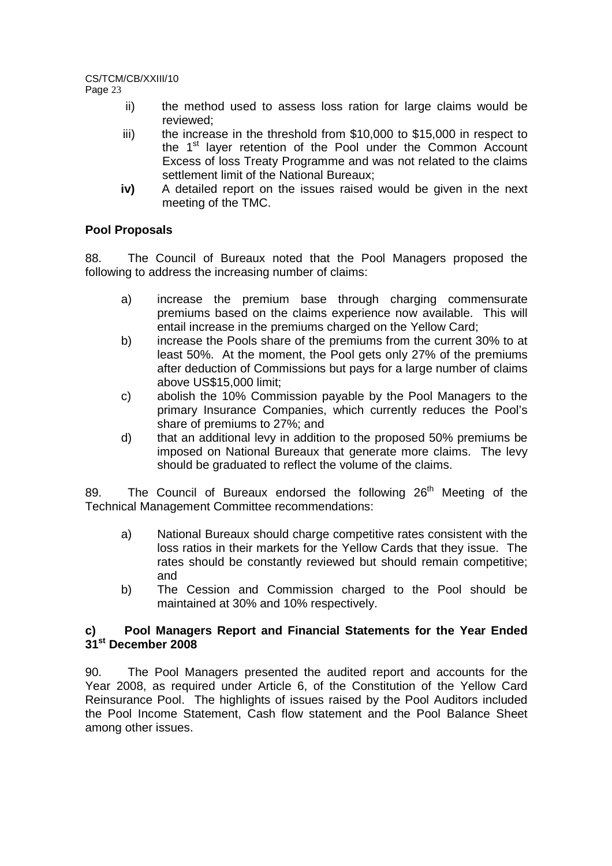# CS/TCM/CB/XXIII/10

Page 23

- ii) the method used to assess loss ration for large claims would be reviewed;
- iii) the increase in the threshold from \$10,000 to \$15,000 in respect to the 1<sup>st</sup> layer retention of the Pool under the Common Account Excess of loss Treaty Programme and was not related to the claims settlement limit of the National Bureaux;
- **iv)** A detailed report on the issues raised would be given in the next meeting of the TMC.

## **Pool Proposals**

88. The Council of Bureaux noted that the Pool Managers proposed the following to address the increasing number of claims:

- a) increase the premium base through charging commensurate premiums based on the claims experience now available. This will entail increase in the premiums charged on the Yellow Card;
- b) increase the Pools share of the premiums from the current 30% to at least 50%. At the moment, the Pool gets only 27% of the premiums after deduction of Commissions but pays for a large number of claims above US\$15,000 limit;
- c) abolish the 10% Commission payable by the Pool Managers to the primary Insurance Companies, which currently reduces the Pool's share of premiums to 27%; and
- d) that an additional levy in addition to the proposed 50% premiums be imposed on National Bureaux that generate more claims. The levy should be graduated to reflect the volume of the claims.

89. The Council of Bureaux endorsed the following  $26<sup>th</sup>$  Meeting of the Technical Management Committee recommendations:

- a) National Bureaux should charge competitive rates consistent with the loss ratios in their markets for the Yellow Cards that they issue. The rates should be constantly reviewed but should remain competitive; and
- b) The Cession and Commission charged to the Pool should be maintained at 30% and 10% respectively.

## **c) Pool Managers Report and Financial Statements for the Year Ended 31st December 2008**

90. The Pool Managers presented the audited report and accounts for the Year 2008, as required under Article 6, of the Constitution of the Yellow Card Reinsurance Pool. The highlights of issues raised by the Pool Auditors included the Pool Income Statement, Cash flow statement and the Pool Balance Sheet among other issues.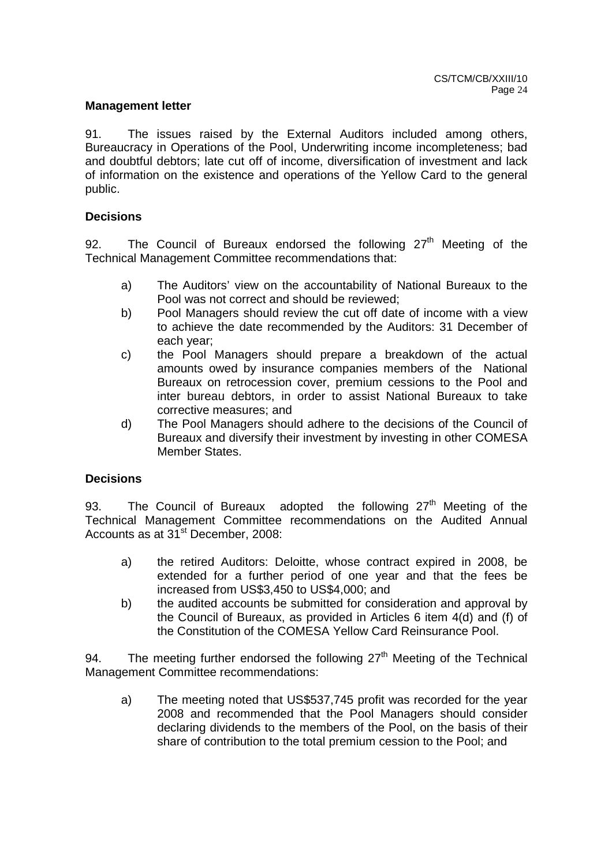### **Management letter**

91. The issues raised by the External Auditors included among others, Bureaucracy in Operations of the Pool, Underwriting income incompleteness; bad and doubtful debtors; late cut off of income, diversification of investment and lack of information on the existence and operations of the Yellow Card to the general public.

### **Decisions**

92. The Council of Bureaux endorsed the following  $27<sup>th</sup>$  Meeting of the Technical Management Committee recommendations that:

- a) The Auditors' view on the accountability of National Bureaux to the Pool was not correct and should be reviewed;
- b) Pool Managers should review the cut off date of income with a view to achieve the date recommended by the Auditors: 31 December of each year;
- c) the Pool Managers should prepare a breakdown of the actual amounts owed by insurance companies members of the National Bureaux on retrocession cover, premium cessions to the Pool and inter bureau debtors, in order to assist National Bureaux to take corrective measures; and
- d) The Pool Managers should adhere to the decisions of the Council of Bureaux and diversify their investment by investing in other COMESA Member States.

## **Decisions**

93. The Council of Bureaux adopted the following  $27<sup>th</sup>$  Meeting of the Technical Management Committee recommendations on the Audited Annual Accounts as at 31<sup>st</sup> December, 2008:

- a) the retired Auditors: Deloitte, whose contract expired in 2008, be extended for a further period of one year and that the fees be increased from US\$3,450 to US\$4,000; and
- b) the audited accounts be submitted for consideration and approval by the Council of Bureaux, as provided in Articles 6 item 4(d) and (f) of the Constitution of the COMESA Yellow Card Reinsurance Pool.

94. The meeting further endorsed the following  $27<sup>th</sup>$  Meeting of the Technical Management Committee recommendations:

a) The meeting noted that US\$537,745 profit was recorded for the year 2008 and recommended that the Pool Managers should consider declaring dividends to the members of the Pool, on the basis of their share of contribution to the total premium cession to the Pool; and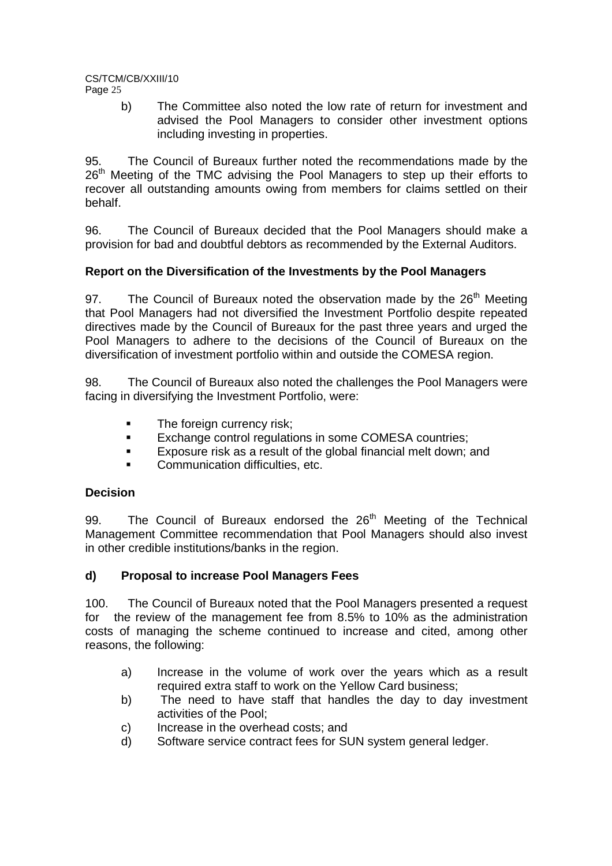b) The Committee also noted the low rate of return for investment and advised the Pool Managers to consider other investment options including investing in properties.

95. The Council of Bureaux further noted the recommendations made by the 26<sup>th</sup> Meeting of the TMC advising the Pool Managers to step up their efforts to recover all outstanding amounts owing from members for claims settled on their behalf.

96. The Council of Bureaux decided that the Pool Managers should make a provision for bad and doubtful debtors as recommended by the External Auditors.

## **Report on the Diversification of the Investments by the Pool Managers**

97. The Council of Bureaux noted the observation made by the  $26<sup>th</sup>$  Meeting that Pool Managers had not diversified the Investment Portfolio despite repeated directives made by the Council of Bureaux for the past three years and urged the Pool Managers to adhere to the decisions of the Council of Bureaux on the diversification of investment portfolio within and outside the COMESA region.

98. The Council of Bureaux also noted the challenges the Pool Managers were facing in diversifying the Investment Portfolio, were:

- **The foreign currency risk;**
- **Exchange control regulations in some COMESA countries;**
- Exposure risk as a result of the global financial melt down; and
- Communication difficulties, etc.

## **Decision**

99. The Council of Bureaux endorsed the 26<sup>th</sup> Meeting of the Technical Management Committee recommendation that Pool Managers should also invest in other credible institutions/banks in the region.

## **d) Proposal to increase Pool Managers Fees**

100. The Council of Bureaux noted that the Pool Managers presented a request for the review of the management fee from 8.5% to 10% as the administration costs of managing the scheme continued to increase and cited, among other reasons, the following:

- a) Increase in the volume of work over the years which as a result required extra staff to work on the Yellow Card business;
- b) The need to have staff that handles the day to day investment activities of the Pool;
- c) Increase in the overhead costs; and
- d) Software service contract fees for SUN system general ledger.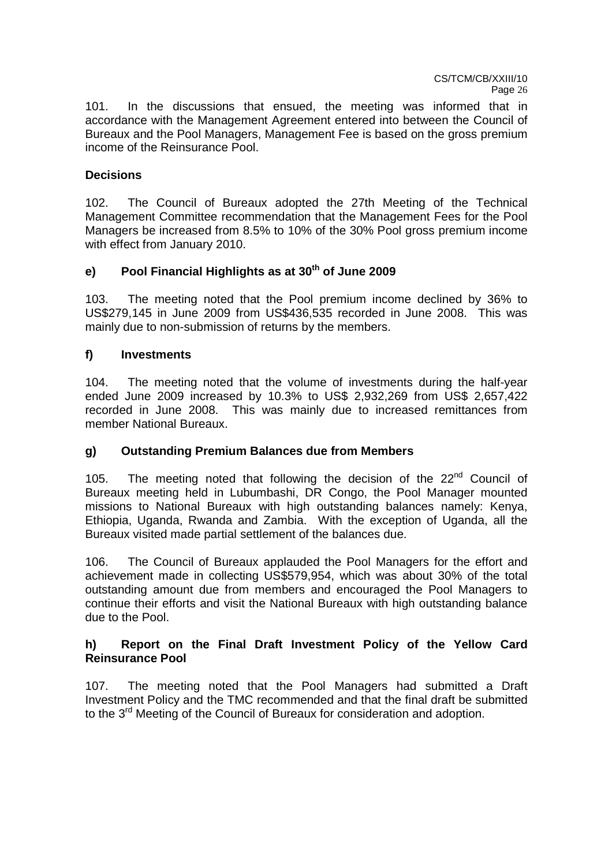101. In the discussions that ensued, the meeting was informed that in accordance with the Management Agreement entered into between the Council of Bureaux and the Pool Managers, Management Fee is based on the gross premium income of the Reinsurance Pool.

## **Decisions**

102. The Council of Bureaux adopted the 27th Meeting of the Technical Management Committee recommendation that the Management Fees for the Pool Managers be increased from 8.5% to 10% of the 30% Pool gross premium income with effect from January 2010.

## **e) Pool Financial Highlights as at 30th of June 2009**

103. The meeting noted that the Pool premium income declined by 36% to US\$279,145 in June 2009 from US\$436,535 recorded in June 2008. This was mainly due to non-submission of returns by the members.

## **f) Investments**

104. The meeting noted that the volume of investments during the half-year ended June 2009 increased by 10.3% to US\$ 2,932,269 from US\$ 2,657,422 recorded in June 2008. This was mainly due to increased remittances from member National Bureaux.

## **g) Outstanding Premium Balances due from Members**

105. The meeting noted that following the decision of the 22<sup>nd</sup> Council of Bureaux meeting held in Lubumbashi, DR Congo, the Pool Manager mounted missions to National Bureaux with high outstanding balances namely: Kenya, Ethiopia, Uganda, Rwanda and Zambia. With the exception of Uganda, all the Bureaux visited made partial settlement of the balances due.

106. The Council of Bureaux applauded the Pool Managers for the effort and achievement made in collecting US\$579,954, which was about 30% of the total outstanding amount due from members and encouraged the Pool Managers to continue their efforts and visit the National Bureaux with high outstanding balance due to the Pool.

## **h) Report on the Final Draft Investment Policy of the Yellow Card Reinsurance Pool**

107. The meeting noted that the Pool Managers had submitted a Draft Investment Policy and the TMC recommended and that the final draft be submitted to the 3<sup>rd</sup> Meeting of the Council of Bureaux for consideration and adoption.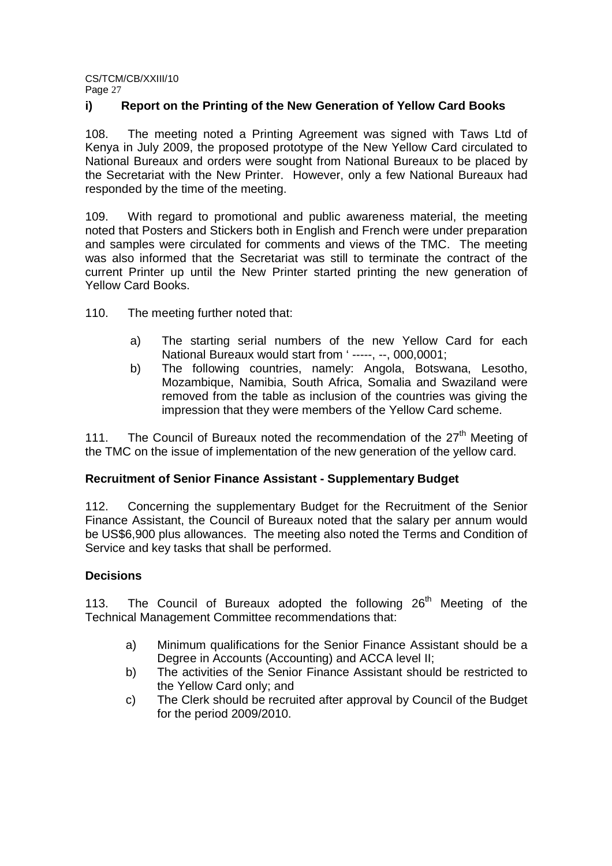## **i) Report on the Printing of the New Generation of Yellow Card Books**

108. The meeting noted a Printing Agreement was signed with Taws Ltd of Kenya in July 2009, the proposed prototype of the New Yellow Card circulated to National Bureaux and orders were sought from National Bureaux to be placed by the Secretariat with the New Printer. However, only a few National Bureaux had responded by the time of the meeting.

109. With regard to promotional and public awareness material, the meeting noted that Posters and Stickers both in English and French were under preparation and samples were circulated for comments and views of the TMC. The meeting was also informed that the Secretariat was still to terminate the contract of the current Printer up until the New Printer started printing the new generation of Yellow Card Books.

110. The meeting further noted that:

- a) The starting serial numbers of the new Yellow Card for each National Bureaux would start from ' -----, --, 000,0001;
- b) The following countries, namely: Angola, Botswana, Lesotho, Mozambique, Namibia, South Africa, Somalia and Swaziland were removed from the table as inclusion of the countries was giving the impression that they were members of the Yellow Card scheme.

111. The Council of Bureaux noted the recommendation of the 27<sup>th</sup> Meeting of the TMC on the issue of implementation of the new generation of the yellow card.

### **Recruitment of Senior Finance Assistant - Supplementary Budget**

112. Concerning the supplementary Budget for the Recruitment of the Senior Finance Assistant, the Council of Bureaux noted that the salary per annum would be US\$6,900 plus allowances. The meeting also noted the Terms and Condition of Service and key tasks that shall be performed.

### **Decisions**

113. The Council of Bureaux adopted the following 26<sup>th</sup> Meeting of the Technical Management Committee recommendations that:

- a) Minimum qualifications for the Senior Finance Assistant should be a Degree in Accounts (Accounting) and ACCA level II;
- b) The activities of the Senior Finance Assistant should be restricted to the Yellow Card only; and
- c) The Clerk should be recruited after approval by Council of the Budget for the period 2009/2010.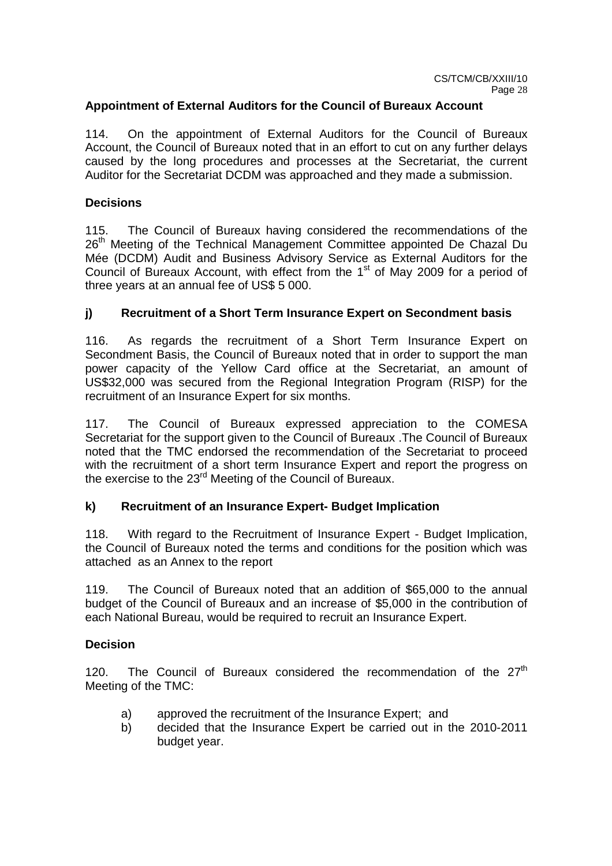## **Appointment of External Auditors for the Council of Bureaux Account**

114. On the appointment of External Auditors for the Council of Bureaux Account, the Council of Bureaux noted that in an effort to cut on any further delays caused by the long procedures and processes at the Secretariat, the current Auditor for the Secretariat DCDM was approached and they made a submission.

## **Decisions**

115. The Council of Bureaux having considered the recommendations of the 26<sup>th</sup> Meeting of the Technical Management Committee appointed De Chazal Du Mée (DCDM) Audit and Business Advisory Service as External Auditors for the Council of Bureaux Account, with effect from the  $1<sup>st</sup>$  of May 2009 for a period of three years at an annual fee of US\$ 5 000.

## **j) Recruitment of a Short Term Insurance Expert on Secondment basis**

116. As regards the recruitment of a Short Term Insurance Expert on Secondment Basis, the Council of Bureaux noted that in order to support the man power capacity of the Yellow Card office at the Secretariat, an amount of US\$32,000 was secured from the Regional Integration Program (RISP) for the recruitment of an Insurance Expert for six months.

117. The Council of Bureaux expressed appreciation to the COMESA Secretariat for the support given to the Council of Bureaux .The Council of Bureaux noted that the TMC endorsed the recommendation of the Secretariat to proceed with the recruitment of a short term Insurance Expert and report the progress on the exercise to the 23<sup>rd</sup> Meeting of the Council of Bureaux.

### **k) Recruitment of an Insurance Expert- Budget Implication**

118. With regard to the Recruitment of Insurance Expert - Budget Implication, the Council of Bureaux noted the terms and conditions for the position which was attached as an Annex to the report

119. The Council of Bureaux noted that an addition of \$65,000 to the annual budget of the Council of Bureaux and an increase of \$5,000 in the contribution of each National Bureau, would be required to recruit an Insurance Expert.

### **Decision**

120. The Council of Bureaux considered the recommendation of the  $27<sup>th</sup>$ Meeting of the TMC:

- a) approved the recruitment of the Insurance Expert; and
- b) decided that the Insurance Expert be carried out in the 2010-2011 budget year.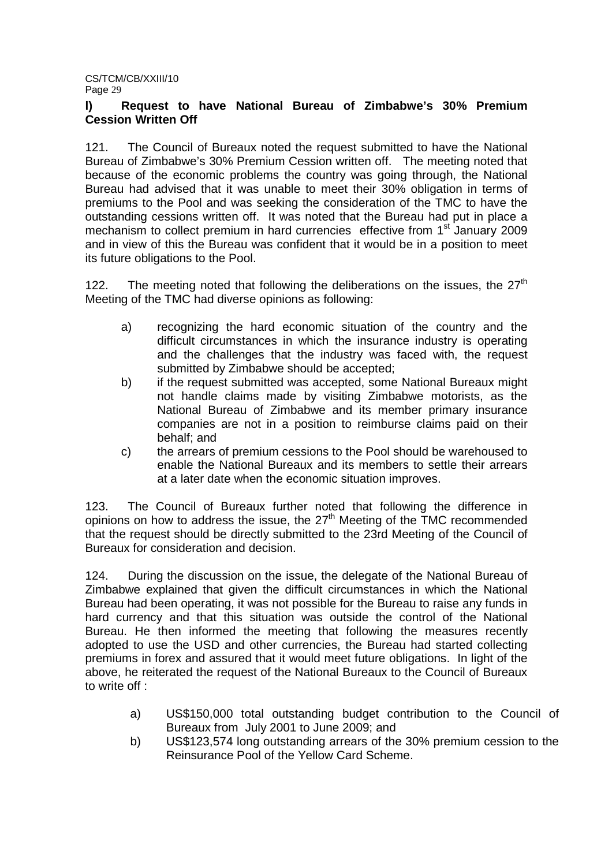## **l) Request to have National Bureau of Zimbabwe's 30% Premium Cession Written Off**

121. The Council of Bureaux noted the request submitted to have the National Bureau of Zimbabwe's 30% Premium Cession written off. The meeting noted that because of the economic problems the country was going through, the National Bureau had advised that it was unable to meet their 30% obligation in terms of premiums to the Pool and was seeking the consideration of the TMC to have the outstanding cessions written off. It was noted that the Bureau had put in place a mechanism to collect premium in hard currencies effective from 1<sup>st</sup> January 2009 and in view of this the Bureau was confident that it would be in a position to meet its future obligations to the Pool.

122. The meeting noted that following the deliberations on the issues, the  $27<sup>th</sup>$ Meeting of the TMC had diverse opinions as following:

- a) recognizing the hard economic situation of the country and the difficult circumstances in which the insurance industry is operating and the challenges that the industry was faced with, the request submitted by Zimbabwe should be accepted;
- b) if the request submitted was accepted, some National Bureaux might not handle claims made by visiting Zimbabwe motorists, as the National Bureau of Zimbabwe and its member primary insurance companies are not in a position to reimburse claims paid on their behalf; and
- c) the arrears of premium cessions to the Pool should be warehoused to enable the National Bureaux and its members to settle their arrears at a later date when the economic situation improves.

123. The Council of Bureaux further noted that following the difference in opinions on how to address the issue, the  $27<sup>th</sup>$  Meeting of the TMC recommended that the request should be directly submitted to the 23rd Meeting of the Council of Bureaux for consideration and decision.

124. During the discussion on the issue, the delegate of the National Bureau of Zimbabwe explained that given the difficult circumstances in which the National Bureau had been operating, it was not possible for the Bureau to raise any funds in hard currency and that this situation was outside the control of the National Bureau. He then informed the meeting that following the measures recently adopted to use the USD and other currencies, the Bureau had started collecting premiums in forex and assured that it would meet future obligations. In light of the above, he reiterated the request of the National Bureaux to the Council of Bureaux to write off :

- a) US\$150,000 total outstanding budget contribution to the Council of Bureaux from July 2001 to June 2009; and
- b) US\$123,574 long outstanding arrears of the 30% premium cession to the Reinsurance Pool of the Yellow Card Scheme.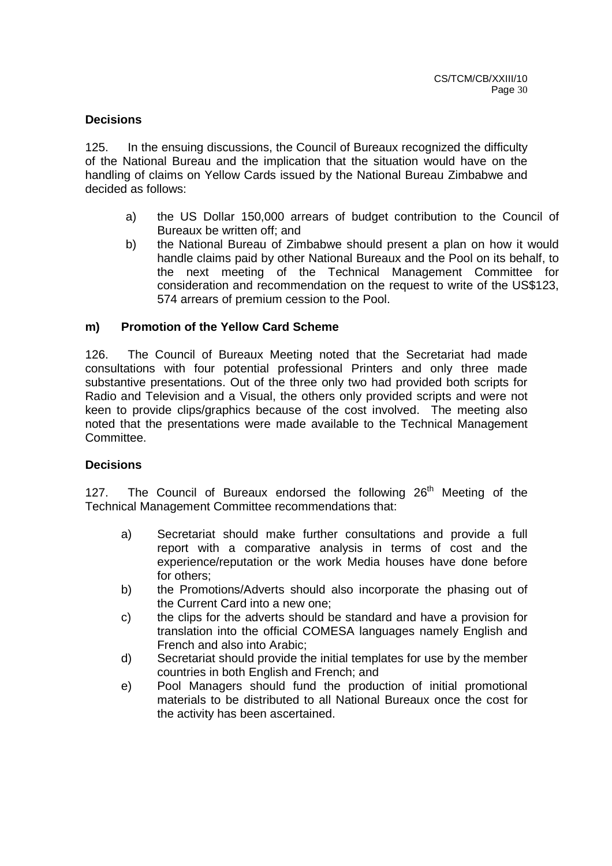## **Decisions**

125. In the ensuing discussions, the Council of Bureaux recognized the difficulty of the National Bureau and the implication that the situation would have on the handling of claims on Yellow Cards issued by the National Bureau Zimbabwe and decided as follows:

- a) the US Dollar 150,000 arrears of budget contribution to the Council of Bureaux be written off; and
- b) the National Bureau of Zimbabwe should present a plan on how it would handle claims paid by other National Bureaux and the Pool on its behalf, to the next meeting of the Technical Management Committee for consideration and recommendation on the request to write of the US\$123, 574 arrears of premium cession to the Pool.

### **m) Promotion of the Yellow Card Scheme**

126. The Council of Bureaux Meeting noted that the Secretariat had made consultations with four potential professional Printers and only three made substantive presentations. Out of the three only two had provided both scripts for Radio and Television and a Visual, the others only provided scripts and were not keen to provide clips/graphics because of the cost involved. The meeting also noted that the presentations were made available to the Technical Management Committee.

### **Decisions**

127. The Council of Bureaux endorsed the following  $26<sup>th</sup>$  Meeting of the Technical Management Committee recommendations that:

- a) Secretariat should make further consultations and provide a full report with a comparative analysis in terms of cost and the experience/reputation or the work Media houses have done before for others;
- b) the Promotions/Adverts should also incorporate the phasing out of the Current Card into a new one;
- c) the clips for the adverts should be standard and have a provision for translation into the official COMESA languages namely English and French and also into Arabic;
- d) Secretariat should provide the initial templates for use by the member countries in both English and French; and
- e) Pool Managers should fund the production of initial promotional materials to be distributed to all National Bureaux once the cost for the activity has been ascertained.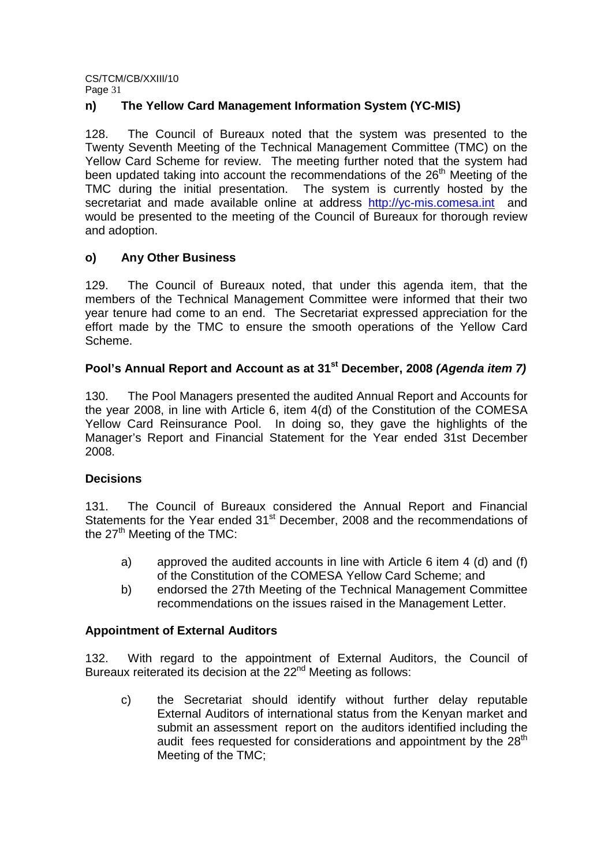## **n) The Yellow Card Management Information System (YC-MIS)**

128. The Council of Bureaux noted that the system was presented to the Twenty Seventh Meeting of the Technical Management Committee (TMC) on the Yellow Card Scheme for review. The meeting further noted that the system had been updated taking into account the recommendations of the  $26<sup>th</sup>$  Meeting of the TMC during the initial presentation. The system is currently hosted by the secretariat and made available online at address http://yc-mis.comesa.int and would be presented to the meeting of the Council of Bureaux for thorough review and adoption.

## **o) Any Other Business**

129. The Council of Bureaux noted, that under this agenda item, that the members of the Technical Management Committee were informed that their two year tenure had come to an end. The Secretariat expressed appreciation for the effort made by the TMC to ensure the smooth operations of the Yellow Card Scheme.

## **Pool's Annual Report and Account as at 31st December, 2008 (Agenda item 7)**

130. The Pool Managers presented the audited Annual Report and Accounts for the year 2008, in line with Article 6, item 4(d) of the Constitution of the COMESA Yellow Card Reinsurance Pool. In doing so, they gave the highlights of the Manager's Report and Financial Statement for the Year ended 31st December 2008.

## **Decisions**

131. The Council of Bureaux considered the Annual Report and Financial Statements for the Year ended 31<sup>st</sup> December, 2008 and the recommendations of the  $27<sup>th</sup>$  Meeting of the TMC:

- a) approved the audited accounts in line with Article 6 item 4 (d) and (f) of the Constitution of the COMESA Yellow Card Scheme; and
- b) endorsed the 27th Meeting of the Technical Management Committee recommendations on the issues raised in the Management Letter.

## **Appointment of External Auditors**

132. With regard to the appointment of External Auditors, the Council of Bureaux reiterated its decision at the 22<sup>nd</sup> Meeting as follows:

c) the Secretariat should identify without further delay reputable External Auditors of international status from the Kenyan market and submit an assessment report on the auditors identified including the audit fees requested for considerations and appointment by the  $28<sup>th</sup>$ Meeting of the TMC;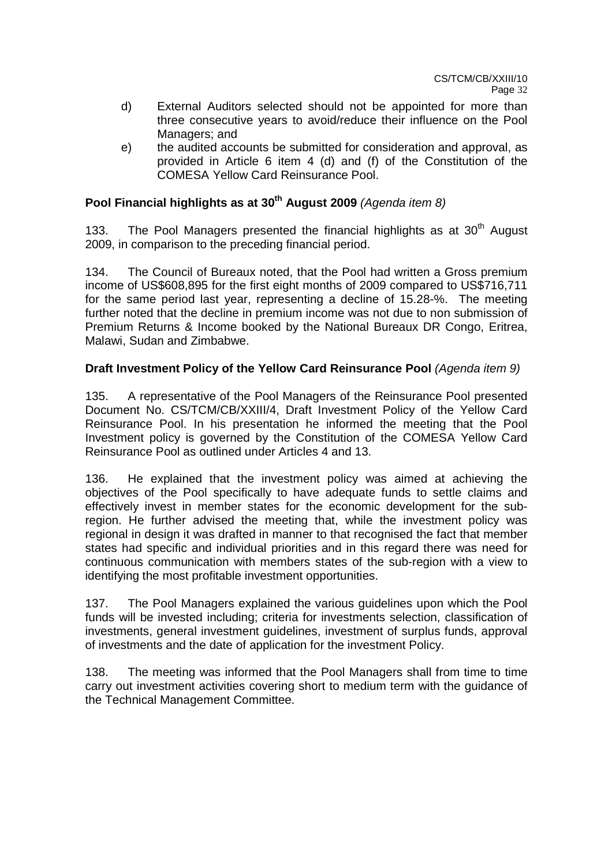- d) External Auditors selected should not be appointed for more than three consecutive years to avoid/reduce their influence on the Pool Managers; and
- e) the audited accounts be submitted for consideration and approval, as provided in Article 6 item 4 (d) and (f) of the Constitution of the COMESA Yellow Card Reinsurance Pool.

## **Pool Financial highlights as at 30th August 2009** (Agenda item 8)

133. The Pool Managers presented the financial highlights as at  $30<sup>th</sup>$  August 2009, in comparison to the preceding financial period.

134. The Council of Bureaux noted, that the Pool had written a Gross premium income of US\$608,895 for the first eight months of 2009 compared to US\$716,711 for the same period last year, representing a decline of 15.28-%. The meeting further noted that the decline in premium income was not due to non submission of Premium Returns & Income booked by the National Bureaux DR Congo, Eritrea, Malawi, Sudan and Zimbabwe.

## **Draft Investment Policy of the Yellow Card Reinsurance Pool** (Agenda item 9)

135. A representative of the Pool Managers of the Reinsurance Pool presented Document No. CS/TCM/CB/XXIII/4, Draft Investment Policy of the Yellow Card Reinsurance Pool. In his presentation he informed the meeting that the Pool Investment policy is governed by the Constitution of the COMESA Yellow Card Reinsurance Pool as outlined under Articles 4 and 13.

136. He explained that the investment policy was aimed at achieving the objectives of the Pool specifically to have adequate funds to settle claims and effectively invest in member states for the economic development for the subregion. He further advised the meeting that, while the investment policy was regional in design it was drafted in manner to that recognised the fact that member states had specific and individual priorities and in this regard there was need for continuous communication with members states of the sub-region with a view to identifying the most profitable investment opportunities.

137. The Pool Managers explained the various guidelines upon which the Pool funds will be invested including; criteria for investments selection, classification of investments, general investment guidelines, investment of surplus funds, approval of investments and the date of application for the investment Policy.

138. The meeting was informed that the Pool Managers shall from time to time carry out investment activities covering short to medium term with the guidance of the Technical Management Committee.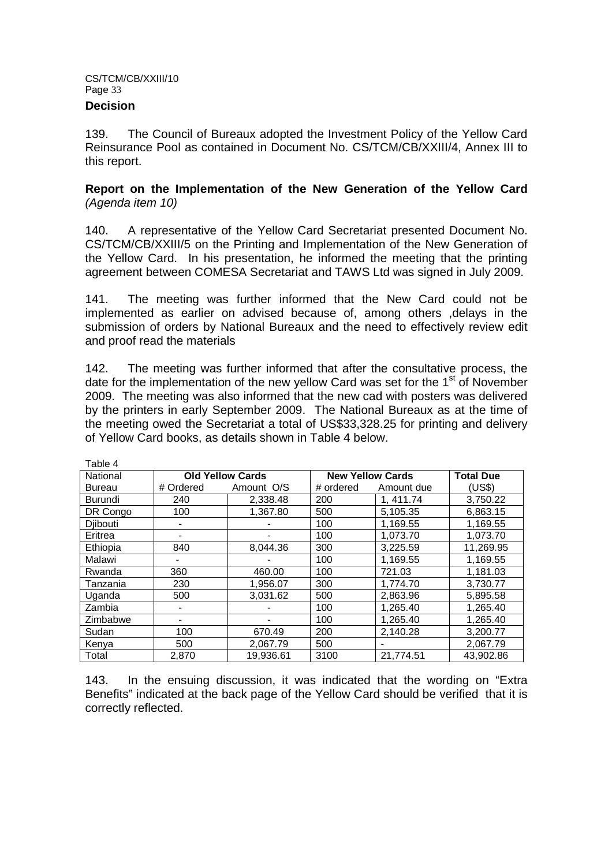### **Decision**

 $\pm$  1.1  $\pm$  1.1  $\pm$ 

139. The Council of Bureaux adopted the Investment Policy of the Yellow Card Reinsurance Pool as contained in Document No. CS/TCM/CB/XXIII/4, Annex III to this report.

## **Report on the Implementation of the New Generation of the Yellow Card**  (Agenda item 10)

140. A representative of the Yellow Card Secretariat presented Document No. CS/TCM/CB/XXIII/5 on the Printing and Implementation of the New Generation of the Yellow Card. In his presentation, he informed the meeting that the printing agreement between COMESA Secretariat and TAWS Ltd was signed in July 2009.

141. The meeting was further informed that the New Card could not be implemented as earlier on advised because of, among others ,delays in the submission of orders by National Bureaux and the need to effectively review edit and proof read the materials

142. The meeting was further informed that after the consultative process, the date for the implementation of the new yellow Card was set for the  $1<sup>st</sup>$  of November 2009. The meeting was also informed that the new cad with posters was delivered by the printers in early September 2009. The National Bureaux as at the time of the meeting owed the Secretariat a total of US\$33,328.25 for printing and delivery of Yellow Card books, as details shown in Table 4 below.

| l able 4       |                         |            |           |                         |           |  |
|----------------|-------------------------|------------|-----------|-------------------------|-----------|--|
| National       | <b>Old Yellow Cards</b> |            |           | <b>New Yellow Cards</b> |           |  |
| <b>Bureau</b>  | # Ordered               | Amount O/S | # ordered | Amount due              | (US\$)    |  |
| <b>Burundi</b> | 240                     | 2,338.48   | 200       | 1, 411.74               | 3,750.22  |  |
| DR Congo       | 100                     | 1,367.80   | 500       | 5,105.35                | 6,863.15  |  |
| Djibouti       |                         |            | 100       | 1,169.55                | 1,169.55  |  |
| Eritrea        |                         |            | 100       | 1,073.70                | 1,073.70  |  |
| Ethiopia       | 840                     | 8.044.36   | 300       | 3,225.59                | 11,269.95 |  |
| Malawi         |                         |            | 100       | 1,169.55                | 1,169.55  |  |
| Rwanda         | 360                     | 460.00     | 100       | 721.03                  | 1,181.03  |  |
| Tanzania       | 230                     | 1,956.07   | 300       | 1,774.70                | 3,730.77  |  |
| Uganda         | 500                     | 3,031.62   | 500       | 2,863.96                | 5,895.58  |  |
| Zambia         |                         |            | 100       | 1.265.40                | 1,265.40  |  |
| Zimbabwe       |                         |            | 100       | 1,265.40                | 1,265.40  |  |
| Sudan          | 100                     | 670.49     | 200       | 2.140.28                | 3,200.77  |  |
| Kenya          | 500                     | 2.067.79   | 500       |                         | 2,067.79  |  |
| Total          | 2,870                   | 19,936.61  | 3100      | 21,774.51               | 43,902.86 |  |

143. In the ensuing discussion, it was indicated that the wording on "Extra Benefits" indicated at the back page of the Yellow Card should be verified that it is correctly reflected.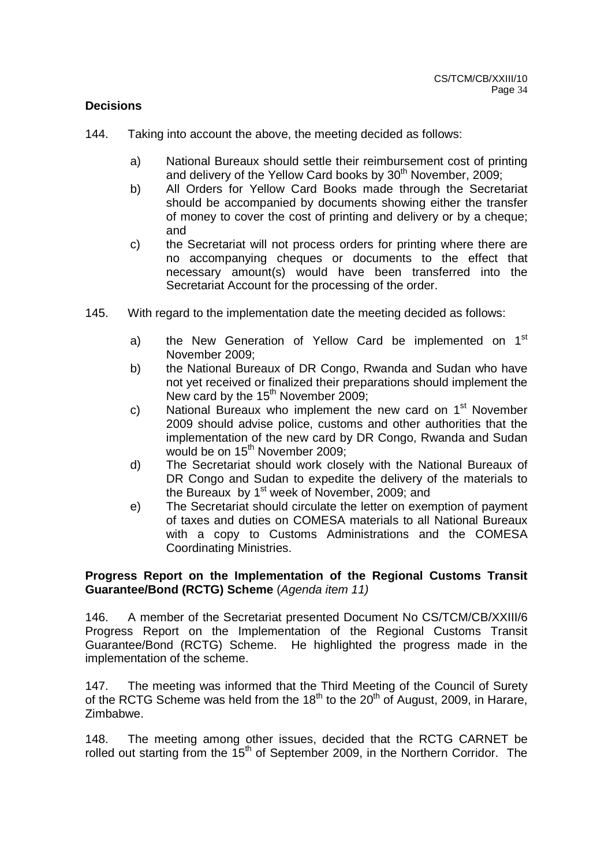## **Decisions**

- 144. Taking into account the above, the meeting decided as follows:
	- a) National Bureaux should settle their reimbursement cost of printing and delivery of the Yellow Card books by  $30<sup>th</sup>$  November, 2009;
	- b) All Orders for Yellow Card Books made through the Secretariat should be accompanied by documents showing either the transfer of money to cover the cost of printing and delivery or by a cheque; and
	- c) the Secretariat will not process orders for printing where there are no accompanying cheques or documents to the effect that necessary amount(s) would have been transferred into the Secretariat Account for the processing of the order.
- 145. With regard to the implementation date the meeting decided as follows:
	- a) the New Generation of Yellow Card be implemented on 1<sup>st</sup> November 2009;
	- b) the National Bureaux of DR Congo, Rwanda and Sudan who have not yet received or finalized their preparations should implement the New card by the  $15<sup>th</sup>$  November 2009;
	- c) National Bureaux who implement the new card on  $1<sup>st</sup>$  November 2009 should advise police, customs and other authorities that the implementation of the new card by DR Congo, Rwanda and Sudan would be on 15<sup>th</sup> November 2009;
	- d) The Secretariat should work closely with the National Bureaux of DR Congo and Sudan to expedite the delivery of the materials to the Bureaux by 1<sup>st</sup> week of November, 2009; and
	- e) The Secretariat should circulate the letter on exemption of payment of taxes and duties on COMESA materials to all National Bureaux with a copy to Customs Administrations and the COMESA Coordinating Ministries.

## **Progress Report on the Implementation of the Regional Customs Transit Guarantee/Bond (RCTG) Scheme** (Agenda item 11)

146. A member of the Secretariat presented Document No CS/TCM/CB/XXIII/6 Progress Report on the Implementation of the Regional Customs Transit Guarantee/Bond (RCTG) Scheme. He highlighted the progress made in the implementation of the scheme.

147. The meeting was informed that the Third Meeting of the Council of Surety of the RCTG Scheme was held from the 18<sup>th</sup> to the 20<sup>th</sup> of August, 2009, in Harare, Zimbabwe.

148. The meeting among other issues, decided that the RCTG CARNET be rolled out starting from the  $15<sup>th</sup>$  of September 2009, in the Northern Corridor. The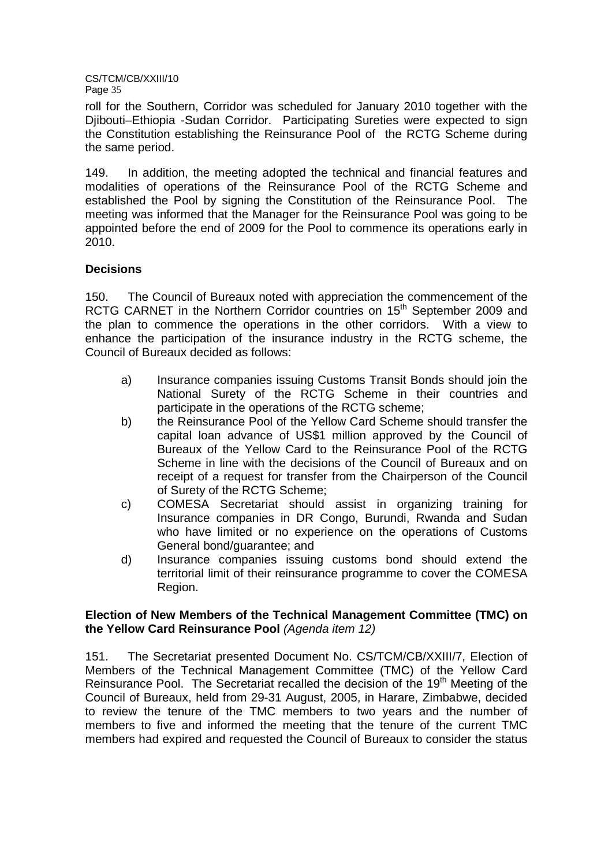roll for the Southern, Corridor was scheduled for January 2010 together with the Djibouti–Ethiopia -Sudan Corridor. Participating Sureties were expected to sign the Constitution establishing the Reinsurance Pool of the RCTG Scheme during the same period.

149. In addition, the meeting adopted the technical and financial features and modalities of operations of the Reinsurance Pool of the RCTG Scheme and established the Pool by signing the Constitution of the Reinsurance Pool. The meeting was informed that the Manager for the Reinsurance Pool was going to be appointed before the end of 2009 for the Pool to commence its operations early in 2010.

## **Decisions**

150. The Council of Bureaux noted with appreciation the commencement of the RCTG CARNET in the Northern Corridor countries on 15<sup>th</sup> September 2009 and the plan to commence the operations in the other corridors. With a view to enhance the participation of the insurance industry in the RCTG scheme, the Council of Bureaux decided as follows:

- a) Insurance companies issuing Customs Transit Bonds should join the National Surety of the RCTG Scheme in their countries and participate in the operations of the RCTG scheme;
- b) the Reinsurance Pool of the Yellow Card Scheme should transfer the capital loan advance of US\$1 million approved by the Council of Bureaux of the Yellow Card to the Reinsurance Pool of the RCTG Scheme in line with the decisions of the Council of Bureaux and on receipt of a request for transfer from the Chairperson of the Council of Surety of the RCTG Scheme;
- c) COMESA Secretariat should assist in organizing training for Insurance companies in DR Congo, Burundi, Rwanda and Sudan who have limited or no experience on the operations of Customs General bond/guarantee; and
- d) Insurance companies issuing customs bond should extend the territorial limit of their reinsurance programme to cover the COMESA Region.

## **Election of New Members of the Technical Management Committee (TMC) on the Yellow Card Reinsurance Pool** (Agenda item 12)

151. The Secretariat presented Document No. CS/TCM/CB/XXIII/7, Election of Members of the Technical Management Committee (TMC) of the Yellow Card Reinsurance Pool. The Secretariat recalled the decision of the 19<sup>th</sup> Meeting of the Council of Bureaux, held from 29-31 August, 2005, in Harare, Zimbabwe, decided to review the tenure of the TMC members to two years and the number of members to five and informed the meeting that the tenure of the current TMC members had expired and requested the Council of Bureaux to consider the status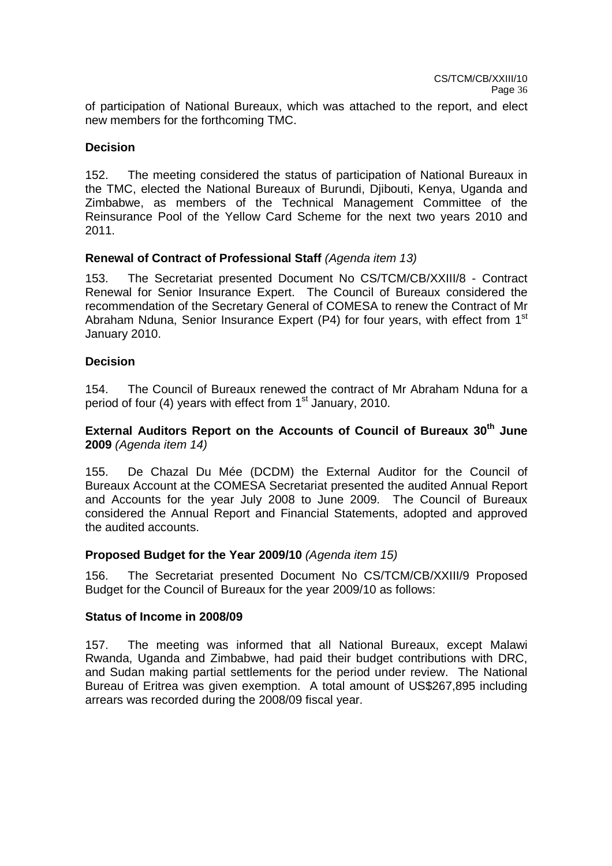of participation of National Bureaux, which was attached to the report, and elect new members for the forthcoming TMC.

## **Decision**

152. The meeting considered the status of participation of National Bureaux in the TMC, elected the National Bureaux of Burundi, Diibouti, Kenya, Uganda and Zimbabwe, as members of the Technical Management Committee of the Reinsurance Pool of the Yellow Card Scheme for the next two years 2010 and 2011.

## **Renewal of Contract of Professional Staff** (Agenda item 13)

153. The Secretariat presented Document No CS/TCM/CB/XXIII/8 - Contract Renewal for Senior Insurance Expert. The Council of Bureaux considered the recommendation of the Secretary General of COMESA to renew the Contract of Mr Abraham Nduna, Senior Insurance Expert (P4) for four years, with effect from 1<sup>st</sup> January 2010.

### **Decision**

154. The Council of Bureaux renewed the contract of Mr Abraham Nduna for a period of four (4) years with effect from  $1<sup>st</sup>$  January, 2010.

## **External Auditors Report on the Accounts of Council of Bureaux 30th June 2009** (Agenda item 14)

155. De Chazal Du Mée (DCDM) the External Auditor for the Council of Bureaux Account at the COMESA Secretariat presented the audited Annual Report and Accounts for the year July 2008 to June 2009. The Council of Bureaux considered the Annual Report and Financial Statements, adopted and approved the audited accounts.

### **Proposed Budget for the Year 2009/10** (Agenda item 15)

156. The Secretariat presented Document No CS/TCM/CB/XXIII/9 Proposed Budget for the Council of Bureaux for the year 2009/10 as follows:

### **Status of Income in 2008/09**

157. The meeting was informed that all National Bureaux, except Malawi Rwanda, Uganda and Zimbabwe, had paid their budget contributions with DRC, and Sudan making partial settlements for the period under review. The National Bureau of Eritrea was given exemption. A total amount of US\$267,895 including arrears was recorded during the 2008/09 fiscal year.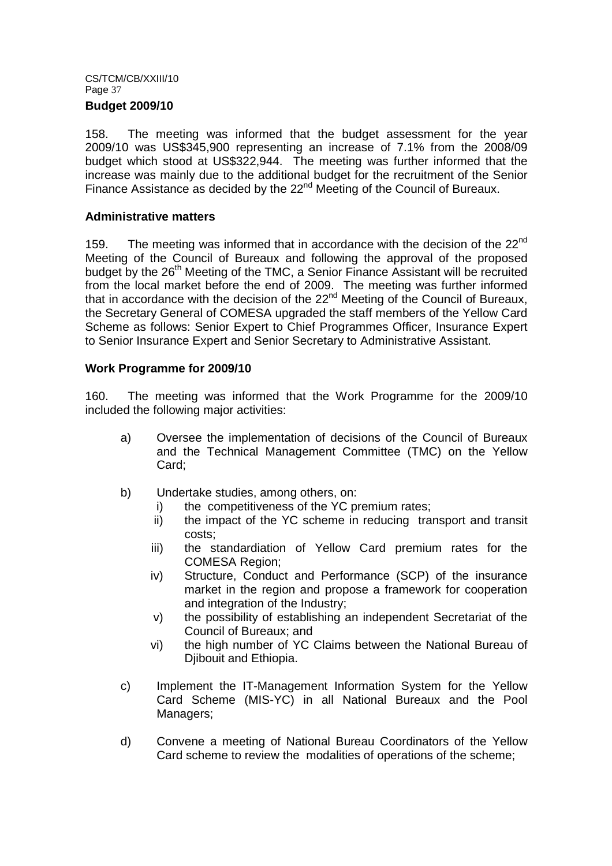### **Budget 2009/10**

158. The meeting was informed that the budget assessment for the year 2009/10 was US\$345,900 representing an increase of 7.1% from the 2008/09 budget which stood at US\$322,944. The meeting was further informed that the increase was mainly due to the additional budget for the recruitment of the Senior Finance Assistance as decided by the 22<sup>nd</sup> Meeting of the Council of Bureaux.

### **Administrative matters**

159. The meeting was informed that in accordance with the decision of the 22<sup>nd</sup> Meeting of the Council of Bureaux and following the approval of the proposed budget by the 26<sup>th</sup> Meeting of the TMC, a Senior Finance Assistant will be recruited from the local market before the end of 2009. The meeting was further informed that in accordance with the decision of the  $22<sup>nd</sup>$  Meeting of the Council of Bureaux, the Secretary General of COMESA upgraded the staff members of the Yellow Card Scheme as follows: Senior Expert to Chief Programmes Officer, Insurance Expert to Senior Insurance Expert and Senior Secretary to Administrative Assistant.

## **Work Programme for 2009/10**

160. The meeting was informed that the Work Programme for the 2009/10 included the following major activities:

- a) Oversee the implementation of decisions of the Council of Bureaux and the Technical Management Committee (TMC) on the Yellow Card;
- b) Undertake studies, among others, on:
	- i) the competitiveness of the YC premium rates;
	- ii) the impact of the YC scheme in reducing transport and transit costs;
	- iii) the standardiation of Yellow Card premium rates for the COMESA Region;
	- iv) Structure, Conduct and Performance (SCP) of the insurance market in the region and propose a framework for cooperation and integration of the Industry;
	- v) the possibility of establishing an independent Secretariat of the Council of Bureaux; and
	- vi) the high number of YC Claims between the National Bureau of Diibouit and Ethiopia.
- c) Implement the IT-Management Information System for the Yellow Card Scheme (MIS-YC) in all National Bureaux and the Pool Managers;
- d) Convene a meeting of National Bureau Coordinators of the Yellow Card scheme to review the modalities of operations of the scheme;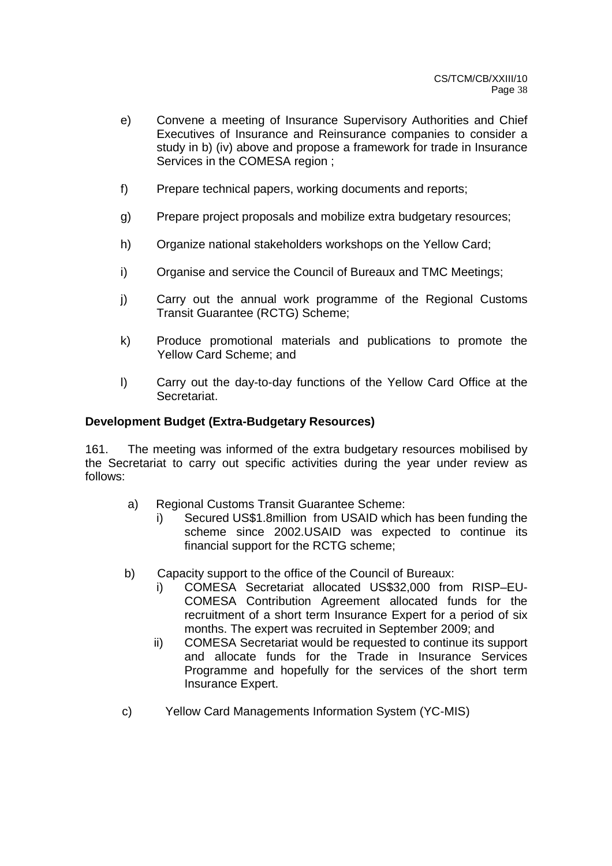- e) Convene a meeting of Insurance Supervisory Authorities and Chief Executives of Insurance and Reinsurance companies to consider a study in b) (iv) above and propose a framework for trade in Insurance Services in the COMESA region ;
- f) Prepare technical papers, working documents and reports;
- g) Prepare project proposals and mobilize extra budgetary resources;
- h) Organize national stakeholders workshops on the Yellow Card;
- i) Organise and service the Council of Bureaux and TMC Meetings;
- j) Carry out the annual work programme of the Regional Customs Transit Guarantee (RCTG) Scheme;
- k) Produce promotional materials and publications to promote the Yellow Card Scheme; and
- l) Carry out the day-to-day functions of the Yellow Card Office at the Secretariat.

## **Development Budget (Extra-Budgetary Resources)**

161. The meeting was informed of the extra budgetary resources mobilised by the Secretariat to carry out specific activities during the year under review as follows:

- a) Regional Customs Transit Guarantee Scheme:
	- i) Secured US\$1.8million from USAID which has been funding the scheme since 2002.USAID was expected to continue its financial support for the RCTG scheme;
- b) Capacity support to the office of the Council of Bureaux:
	- i) COMESA Secretariat allocated US\$32,000 from RISP–EU-COMESA Contribution Agreement allocated funds for the recruitment of a short term Insurance Expert for a period of six months. The expert was recruited in September 2009; and
	- ii) COMESA Secretariat would be requested to continue its support and allocate funds for the Trade in Insurance Services Programme and hopefully for the services of the short term Insurance Expert.
- c) Yellow Card Managements Information System (YC-MIS)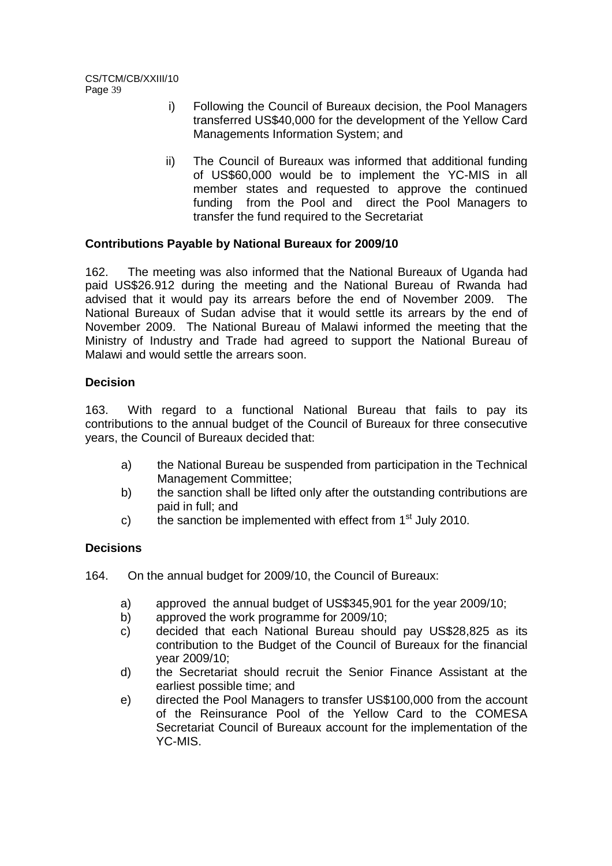- i) Following the Council of Bureaux decision, the Pool Managers transferred US\$40,000 for the development of the Yellow Card Managements Information System; and
- ii) The Council of Bureaux was informed that additional funding of US\$60,000 would be to implement the YC-MIS in all member states and requested to approve the continued funding from the Pool and direct the Pool Managers to transfer the fund required to the Secretariat

## **Contributions Payable by National Bureaux for 2009/10**

162. The meeting was also informed that the National Bureaux of Uganda had paid US\$26.912 during the meeting and the National Bureau of Rwanda had advised that it would pay its arrears before the end of November 2009. The National Bureaux of Sudan advise that it would settle its arrears by the end of November 2009. The National Bureau of Malawi informed the meeting that the Ministry of Industry and Trade had agreed to support the National Bureau of Malawi and would settle the arrears soon.

## **Decision**

163. With regard to a functional National Bureau that fails to pay its contributions to the annual budget of the Council of Bureaux for three consecutive years, the Council of Bureaux decided that:

- a) the National Bureau be suspended from participation in the Technical Management Committee;
- b) the sanction shall be lifted only after the outstanding contributions are paid in full; and
- c) the sanction be implemented with effect from  $1<sup>st</sup>$  July 2010.

## **Decisions**

- 164. On the annual budget for 2009/10, the Council of Bureaux:
	- a) approved the annual budget of US\$345,901 for the year 2009/10;
	- b) approved the work programme for 2009/10;
	- c) decided that each National Bureau should pay US\$28,825 as its contribution to the Budget of the Council of Bureaux for the financial year 2009/10;
	- d) the Secretariat should recruit the Senior Finance Assistant at the earliest possible time; and
	- e) directed the Pool Managers to transfer US\$100,000 from the account of the Reinsurance Pool of the Yellow Card to the COMESA Secretariat Council of Bureaux account for the implementation of the YC-MIS.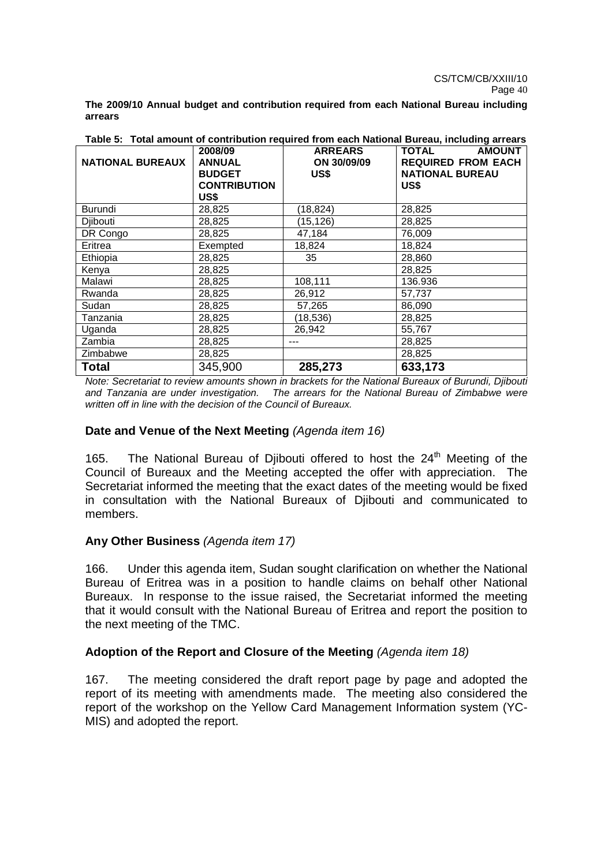**The 2009/10 Annual budget and contribution required from each National Bureau including arrears** 

| <b>NATIONAL BUREAUX</b> | 2008/09<br><b>ANNUAL</b><br><b>BUDGET</b><br><b>CONTRIBUTION</b> | <b>ARREARS</b><br>ON 30/09/09<br>US\$ | <b>AMOUNT</b><br><b>TOTAL</b><br><b>REQUIRED FROM EACH</b><br><b>NATIONAL BUREAU</b><br>US\$ |  |  |
|-------------------------|------------------------------------------------------------------|---------------------------------------|----------------------------------------------------------------------------------------------|--|--|
|                         | US\$                                                             |                                       |                                                                                              |  |  |
| <b>Burundi</b>          | 28,825                                                           | (18, 824)                             | 28,825                                                                                       |  |  |
| Djibouti                | 28,825                                                           | (15,126)                              | 28,825                                                                                       |  |  |
| DR Congo                | 28,825                                                           | 47,184                                | 76,009                                                                                       |  |  |
| Eritrea                 | Exempted                                                         | 18,824                                | 18,824                                                                                       |  |  |
| Ethiopia                | 28,825                                                           | 35                                    | 28,860                                                                                       |  |  |
| Kenya                   | 28,825                                                           |                                       | 28,825                                                                                       |  |  |
| Malawi                  | 28,825                                                           | 108,111                               | 136.936                                                                                      |  |  |
| Rwanda                  | 28,825                                                           | 26,912                                | 57,737                                                                                       |  |  |
| Sudan                   | 28,825                                                           | 57,265                                | 86,090                                                                                       |  |  |
| Tanzania                | 28,825                                                           | (18,536)                              | 28,825                                                                                       |  |  |
| Uganda                  | 28,825                                                           | 26,942                                | 55,767                                                                                       |  |  |
| Zambia                  | 28,825                                                           |                                       | 28,825                                                                                       |  |  |
| Zimbabwe                | 28,825                                                           |                                       | 28,825                                                                                       |  |  |
| <b>Total</b>            | 345,900                                                          | 285,273                               | 633,173                                                                                      |  |  |

**Table 5: Total amount of contribution required from each National Bureau, including arrears** 

Note: Secretariat to review amounts shown in brackets for the National Bureaux of Burundi, Djibouti and Tanzania are under investigation. The arrears for the National Bureau of Zimbabwe were written off in line with the decision of the Council of Bureaux.

## **Date and Venue of the Next Meeting** (Agenda item 16)

165. The National Bureau of Djibouti offered to host the 24<sup>th</sup> Meeting of the Council of Bureaux and the Meeting accepted the offer with appreciation. The Secretariat informed the meeting that the exact dates of the meeting would be fixed in consultation with the National Bureaux of Djibouti and communicated to members.

## **Any Other Business** (Agenda item 17)

166. Under this agenda item, Sudan sought clarification on whether the National Bureau of Eritrea was in a position to handle claims on behalf other National Bureaux. In response to the issue raised, the Secretariat informed the meeting that it would consult with the National Bureau of Eritrea and report the position to the next meeting of the TMC.

### Adoption of the Report and Closure of the Meeting *(Agenda item 18)*

167. The meeting considered the draft report page by page and adopted the report of its meeting with amendments made. The meeting also considered the report of the workshop on the Yellow Card Management Information system (YC-MIS) and adopted the report.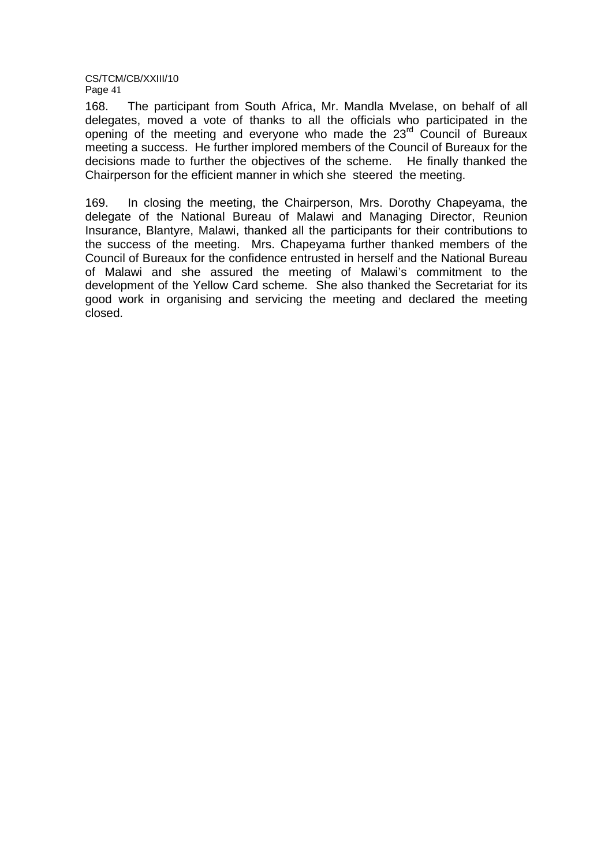168. The participant from South Africa, Mr. Mandla Mvelase, on behalf of all delegates, moved a vote of thanks to all the officials who participated in the opening of the meeting and everyone who made the 23<sup>rd</sup> Council of Bureaux meeting a success. He further implored members of the Council of Bureaux for the decisions made to further the objectives of the scheme. He finally thanked the Chairperson for the efficient manner in which she steered the meeting.

169. In closing the meeting, the Chairperson, Mrs. Dorothy Chapeyama, the delegate of the National Bureau of Malawi and Managing Director, Reunion Insurance, Blantyre, Malawi, thanked all the participants for their contributions to the success of the meeting. Mrs. Chapeyama further thanked members of the Council of Bureaux for the confidence entrusted in herself and the National Bureau of Malawi and she assured the meeting of Malawi's commitment to the development of the Yellow Card scheme. She also thanked the Secretariat for its good work in organising and servicing the meeting and declared the meeting closed.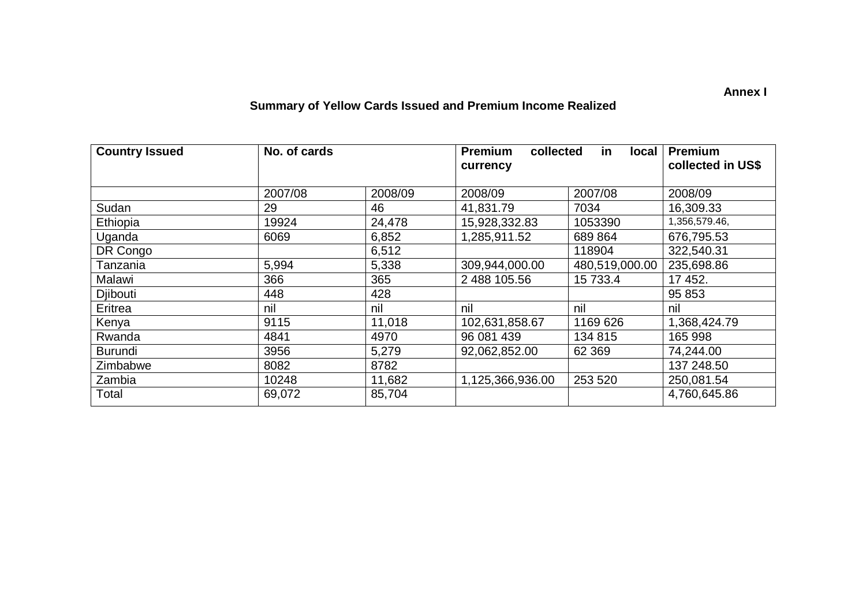## **Summary of Yellow Cards Issued and Premium Income Realized**

| <b>Country Issued</b> | No. of cards |         | <b>Premium</b><br>collected<br>currency | <b>Premium</b><br>collected in US\$ |               |
|-----------------------|--------------|---------|-----------------------------------------|-------------------------------------|---------------|
|                       | 2007/08      | 2008/09 | 2008/09<br>2007/08                      |                                     | 2008/09       |
| Sudan                 | 29           | 46      | 41,831.79                               | 7034                                | 16,309.33     |
| Ethiopia              | 19924        | 24,478  | 15,928,332.83                           | 1053390                             | 1,356,579.46, |
| Uganda                | 6069         | 6,852   | 1,285,911.52                            | 689 864                             | 676,795.53    |
| DR Congo              |              | 6,512   |                                         | 118904                              | 322,540.31    |
| Tanzania              | 5,994        | 5,338   | 309,944,000.00                          | 480,519,000.00                      | 235,698.86    |
| Malawi                | 366          | 365     | 2 488 105.56                            | 15 733.4                            | 17 452.       |
| Djibouti              | 448          | 428     |                                         |                                     | 95 853        |
| Eritrea               | nil          | nil     | nil                                     | nil                                 | nil           |
| Kenya                 | 9115         | 11,018  | 102,631,858.67                          | 1169 626                            | 1,368,424.79  |
| Rwanda                | 4841         | 4970    | 96 081 439                              | 134 815                             | 165 998       |
| <b>Burundi</b>        | 3956         | 5,279   | 92,062,852.00                           | 62 3 69                             | 74,244.00     |
| Zimbabwe              | 8082         | 8782    |                                         |                                     | 137 248.50    |
| Zambia                | 10248        | 11,682  | 1,125,366,936.00                        | 253 520                             | 250,081.54    |
| Total                 | 69,072       | 85,704  |                                         |                                     | 4,760,645.86  |

**Annex I**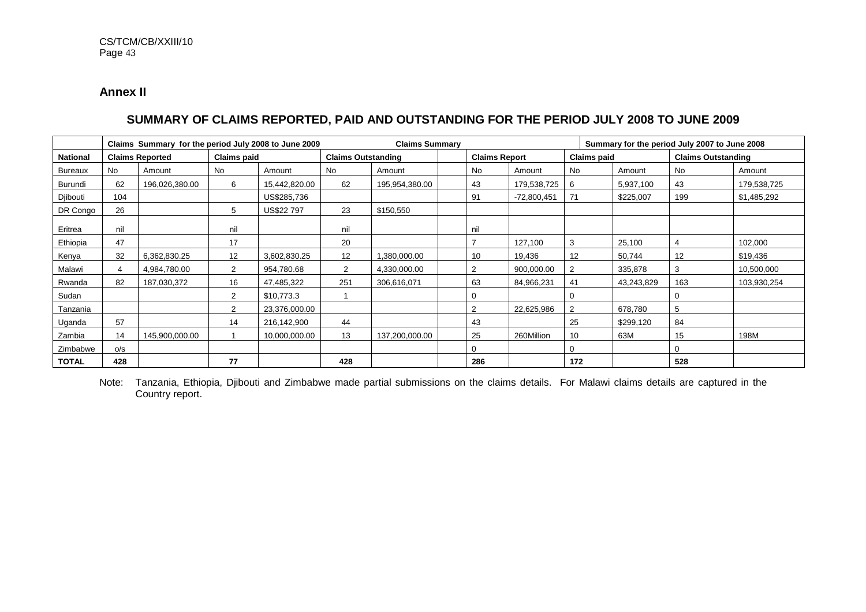## **Annex II**

## **SUMMARY OF CLAIMS REPORTED, PAID AND OUTSTANDING FOR THE PERIOD JULY 2008 TO JUNE 2009**

|                 | Claims Summary for the period July 2008 to June 2009 |                |                |                           |     |                      | <b>Claims Summary</b> |                    |               |                           |            | Summary for the period July 2007 to June 2008 |             |
|-----------------|------------------------------------------------------|----------------|----------------|---------------------------|-----|----------------------|-----------------------|--------------------|---------------|---------------------------|------------|-----------------------------------------------|-------------|
| <b>National</b> | <b>Claims paid</b><br><b>Claims Reported</b>         |                |                | <b>Claims Outstanding</b> |     | <b>Claims Report</b> |                       | <b>Claims paid</b> |               | <b>Claims Outstanding</b> |            |                                               |             |
| Bureaux         | <b>No</b>                                            | Amount         | <b>No</b>      | Amount                    | No  | Amount               |                       | No                 | Amount        | No                        | Amount     | No.                                           | Amount      |
| Burundi         | 62                                                   | 196,026,380.00 | 6              | 15,442,820.00             | 62  | 195,954,380.00       |                       | 43                 | 179,538,725   | 6                         | 5,937,100  | 43                                            | 179,538,725 |
| Djibouti        | 104                                                  |                |                | US\$285,736               |     |                      |                       | 91                 | $-72,800,451$ | 71                        | \$225,007  | 199                                           | \$1,485,292 |
| DR Congo        | 26                                                   |                | 5              | US\$22 797                | 23  | \$150,550            |                       |                    |               |                           |            |                                               |             |
| Eritrea         | nil                                                  |                | nil            |                           | nil |                      |                       | nil                |               |                           |            |                                               |             |
| Ethiopia        | 47                                                   |                | 17             |                           | 20  |                      |                       | $\overline{ }$     | 127,100       | 3                         | 25,100     | 4                                             | 102,000     |
| Kenya           | 32                                                   | 6,362,830.25   | 12             | 3,602,830.25              | 12  | 1,380,000.00         |                       | 10                 | 19,436        | 12                        | 50,744     | 12                                            | \$19,436    |
| Malawi          | 4                                                    | 4,984,780.00   | 2              | 954,780.68                | 2   | 4,330,000.00         |                       | 2                  | 900,000.00    | $\overline{2}$            | 335,878    | 3                                             | 10,500,000  |
| Rwanda          | 82                                                   | 187,030,372    | 16             | 47,485,322                | 251 | 306,616,071          |                       | 63                 | 84,966,231    | 41                        | 43,243,829 | 163                                           | 103,930,254 |
| Sudan           |                                                      |                | $\overline{2}$ | \$10,773.3                |     |                      |                       | $\Omega$           |               | 0                         |            | 0                                             |             |
| Tanzania        |                                                      |                | 2              | 23,376,000.00             |     |                      |                       | 2                  | 22,625,986    | 2                         | 678,780    | 5                                             |             |
| Uganda          | 57                                                   |                | 14             | 216,142,900               | 44  |                      |                       | 43                 |               | 25                        | \$299,120  | 84                                            |             |
| Zambia          | 14                                                   | 145,900,000.00 |                | 10,000,000.00             | 13  | 137,200,000.00       |                       | 25                 | 260Million    | 10                        | 63M        | 15                                            | 198M        |
| Zimbabwe        | O/S                                                  |                |                |                           |     |                      |                       | $\Omega$           |               | $\Omega$                  |            | 0                                             |             |
| <b>TOTAL</b>    | 428                                                  |                | 77             |                           | 428 |                      |                       | 286                |               | 172                       |            | 528                                           |             |

Note: Tanzania, Ethiopia, Djibouti and Zimbabwe made partial submissions on the claims details. For Malawi claims details are captured in the Country report.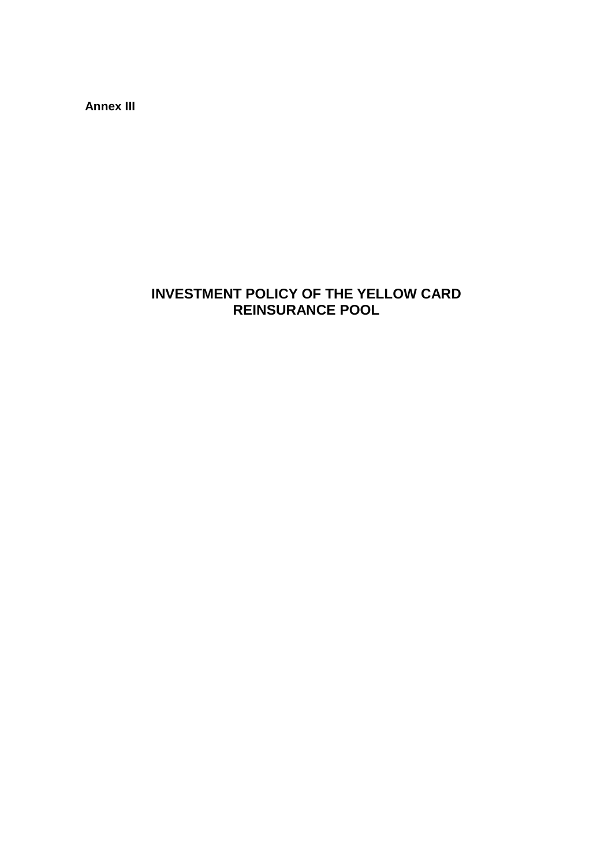**Annex III** 

# **INVESTMENT POLICY OF THE YELLOW CARD REINSURANCE POOL**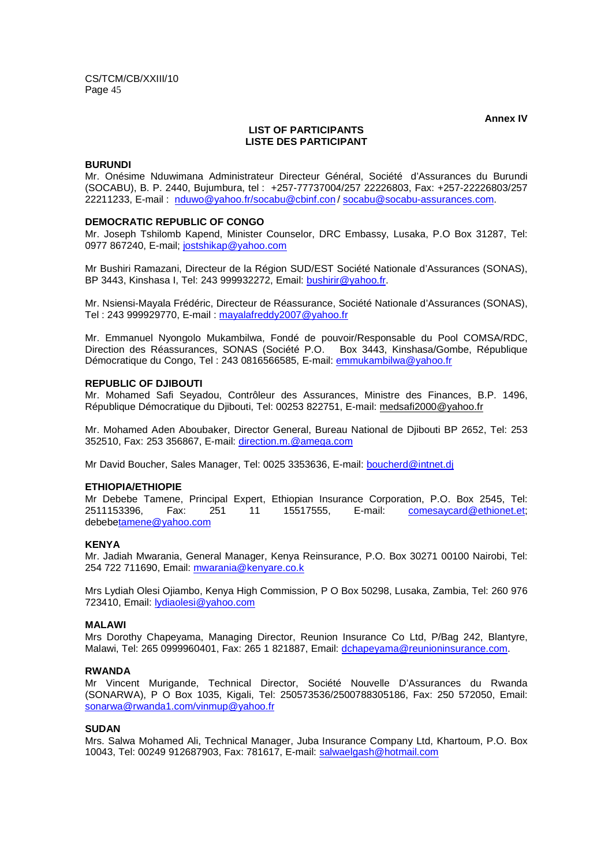**Annex IV** 

#### **LIST OF PARTICIPANTS LISTE DES PARTICIPANT**

#### **BURUNDI**

Mr. Onésime Nduwimana Administrateur Directeur Général, Société d'Assurances du Burundi (SOCABU), B. P. 2440, Bujumbura, tel : +257-77737004/257 22226803, Fax: +257-22226803/257 22211233, E-mail : nduwo@yahoo.fr/socabu@cbinf.con / socabu@socabu-assurances.com.

#### **DEMOCRATIC REPUBLIC OF CONGO**

Mr. Joseph Tshilomb Kapend, Minister Counselor, DRC Embassy, Lusaka, P.O Box 31287, Tel: 0977 867240, E-mail; jostshikap@yahoo.com

Mr Bushiri Ramazani, Directeur de la Région SUD/EST Société Nationale d'Assurances (SONAS), BP 3443, Kinshasa I, Tel: 243 999932272, Email: bushirir@yahoo.fr.

Mr. Nsiensi-Mayala Frédéric, Directeur de Réassurance, Société Nationale d'Assurances (SONAS), Tel : 243 999929770, E-mail : mayalafreddy2007@yahoo.fr

Mr. Emmanuel Nyongolo Mukambilwa, Fondé de pouvoir/Responsable du Pool COMSA/RDC, Direction des Réassurances, SONAS (Société P.O. Box 3443, Kinshasa/Gombe, République Démocratique du Congo, Tel : 243 0816566585, E-mail: emmukambilwa@yahoo.fr

#### **REPUBLIC OF DJIBOUTI**

Mr. Mohamed Safi Seyadou, Contrôleur des Assurances, Ministre des Finances, B.P. 1496, République Démocratique du Djibouti, Tel: 00253 822751, E-mail: medsafi2000@yahoo.fr

Mr. Mohamed Aden Aboubaker, Director General, Bureau National de Djibouti BP 2652, Tel: 253 352510, Fax: 253 356867, E-mail: direction.m.@amega.com

Mr David Boucher, Sales Manager, Tel: 0025 3353636, E-mail: boucherd@intnet.dj

#### **ETHIOPIA/ETHIOPIE**

Mr Debebe Tamene, Principal Expert, Ethiopian Insurance Corporation, P.O. Box 2545, Tel: 2511153396, Fax: 251 11 15517555, E-mail: comesaycard@ethionet.et; debebetamene@yahoo.com

#### **KENYA**

Mr. Jadiah Mwarania, General Manager, Kenya Reinsurance, P.O. Box 30271 00100 Nairobi, Tel: 254 722 711690, Email: mwarania@kenyare.co.k

Mrs Lydiah Olesi Ojiambo, Kenya High Commission, P O Box 50298, Lusaka, Zambia, Tel: 260 976 723410, Email: lydiaolesi@yahoo.com

#### **MALAWI**

Mrs Dorothy Chapeyama, Managing Director, Reunion Insurance Co Ltd, P/Bag 242, Blantyre, Malawi, Tel: 265 0999960401, Fax: 265 1 821887, Email: dchapeyama@reunioninsurance.com.

#### **RWANDA**

Mr Vincent Murigande, Technical Director, Société Nouvelle D'Assurances du Rwanda (SONARWA), P O Box 1035, Kigali, Tel: 250573536/2500788305186, Fax: 250 572050, Email: sonarwa@rwanda1.com/vinmup@yahoo.fr

#### **SUDAN**

Mrs. Salwa Mohamed Ali, Technical Manager, Juba Insurance Company Ltd, Khartoum, P.O. Box 10043, Tel: 00249 912687903, Fax: 781617, E-mail: salwaelgash@hotmail.com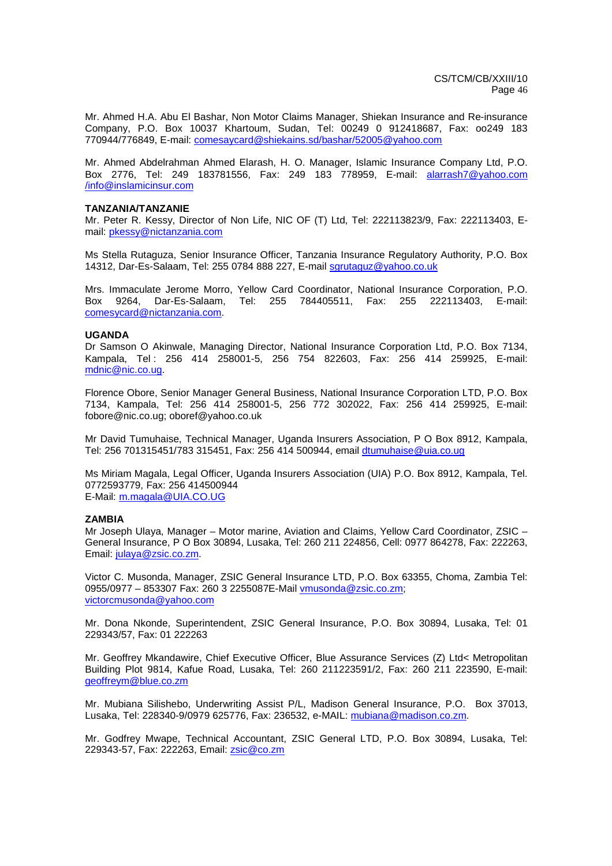Mr. Ahmed H.A. Abu El Bashar, Non Motor Claims Manager, Shiekan Insurance and Re-insurance Company, P.O. Box 10037 Khartoum, Sudan, Tel: 00249 0 912418687, Fax: oo249 183 770944/776849, E-mail: comesaycard@shiekains.sd/bashar/52005@yahoo.com

Mr. Ahmed Abdelrahman Ahmed Elarash, H. O. Manager, Islamic Insurance Company Ltd, P.O. Box 2776, Tel: 249 183781556, Fax: 249 183 778959, E-mail: alarrash7@yahoo.com /info@inslamicinsur.com

#### **TANZANIA/TANZANIE**

Mr. Peter R. Kessy, Director of Non Life, NIC OF (T) Ltd, Tel: 222113823/9, Fax: 222113403, Email: pkessy@nictanzania.com

Ms Stella Rutaguza, Senior Insurance Officer, Tanzania Insurance Regulatory Authority, P.O. Box 14312, Dar-Es-Salaam, Tel: 255 0784 888 227, E-mail sgrutaguz@yahoo.co.uk

Mrs. Immaculate Jerome Morro, Yellow Card Coordinator, National Insurance Corporation, P.O. Box 9264, Dar-Es-Salaam, Tel: 255 784405511, Fax: 255 222113403, E-mail: comesycard@nictanzania.com.

#### **UGANDA**

Dr Samson O Akinwale, Managing Director, National Insurance Corporation Ltd, P.O. Box 7134, Kampala, Tel : 256 414 258001-5, 256 754 822603, Fax: 256 414 259925, E-mail: mdnic@nic.co.ug.

Florence Obore, Senior Manager General Business, National Insurance Corporation LTD, P.O. Box 7134, Kampala, Tel: 256 414 258001-5, 256 772 302022, Fax: 256 414 259925, E-mail: fobore@nic.co.ug; oboref@yahoo.co.uk

Mr David Tumuhaise, Technical Manager, Uganda Insurers Association, P O Box 8912, Kampala, Tel: 256 701315451/783 315451, Fax: 256 414 500944, email dtumuhaise@uia.co.ug

Ms Miriam Magala, Legal Officer, Uganda Insurers Association (UIA) P.O. Box 8912, Kampala, Tel. 0772593779, Fax: 256 414500944 E-Mail: m.magala@UIA.CO.UG

#### **ZAMBIA**

Mr Joseph Ulaya, Manager – Motor marine, Aviation and Claims, Yellow Card Coordinator, ZSIC – General Insurance, P O Box 30894, Lusaka, Tel: 260 211 224856, Cell: 0977 864278, Fax: 222263, Email: julaya@zsic.co.zm.

Victor C. Musonda, Manager, ZSIC General Insurance LTD, P.O. Box 63355, Choma, Zambia Tel: 0955/0977 – 853307 Fax: 260 3 2255087E-Mail vmusonda@zsic.co.zm; victorcmusonda@yahoo.com

Mr. Dona Nkonde, Superintendent, ZSIC General Insurance, P.O. Box 30894, Lusaka, Tel: 01 229343/57, Fax: 01 222263

Mr. Geoffrey Mkandawire, Chief Executive Officer, Blue Assurance Services (Z) Ltd< Metropolitan Building Plot 9814, Kafue Road, Lusaka, Tel: 260 211223591/2, Fax: 260 211 223590, E-mail: geoffreym@blue.co.zm

Mr. Mubiana Silishebo, Underwriting Assist P/L, Madison General Insurance, P.O. Box 37013, Lusaka, Tel: 228340-9/0979 625776, Fax: 236532, e-MAIL: mubiana@madison.co.zm.

Mr. Godfrey Mwape, Technical Accountant, ZSIC General LTD, P.O. Box 30894, Lusaka, Tel: 229343-57, Fax: 222263, Email: zsic@co.zm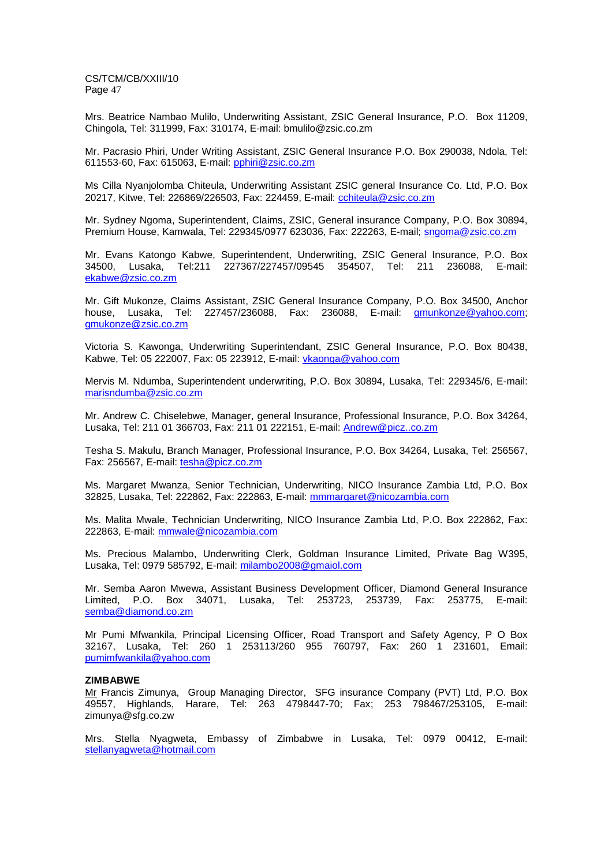Mrs. Beatrice Nambao Mulilo, Underwriting Assistant, ZSIC General Insurance, P.O. Box 11209, Chingola, Tel: 311999, Fax: 310174, E-mail: bmulilo@zsic.co.zm

Mr. Pacrasio Phiri, Under Writing Assistant, ZSIC General Insurance P.O. Box 290038, Ndola, Tel: 611553-60, Fax: 615063, E-mail: pphiri@zsic.co.zm

Ms Cilla Nyanjolomba Chiteula, Underwriting Assistant ZSIC general Insurance Co. Ltd, P.O. Box 20217, Kitwe, Tel: 226869/226503, Fax: 224459, E-mail: cchiteula@zsic.co.zm

Mr. Sydney Ngoma, Superintendent, Claims, ZSIC, General insurance Company, P.O. Box 30894, Premium House, Kamwala, Tel: 229345/0977 623036, Fax: 222263, E-mail; sngoma@zsic.co.zm

Mr. Evans Katongo Kabwe, Superintendent, Underwriting, ZSIC General Insurance, P.O. Box 34500, Lusaka, Tel:211 227367/227457/09545 354507, Tel: 211 236088, E-mail: ekabwe@zsic.co.zm

Mr. Gift Mukonze, Claims Assistant, ZSIC General Insurance Company, P.O. Box 34500, Anchor house, Lusaka, Tel: 227457/236088, Fax: 236088, E-mail: gmunkonze@yahoo.com; gmukonze@zsic.co.zm

Victoria S. Kawonga, Underwriting Superintendant, ZSIC General Insurance, P.O. Box 80438, Kabwe, Tel: 05 222007, Fax: 05 223912, E-mail: vkaonga@yahoo.com

Mervis M. Ndumba, Superintendent underwriting, P.O. Box 30894, Lusaka, Tel: 229345/6, E-mail: marisndumba@zsic.co.zm

Mr. Andrew C. Chiselebwe, Manager, general Insurance, Professional Insurance, P.O. Box 34264, Lusaka, Tel: 211 01 366703, Fax: 211 01 222151, E-mail: Andrew@picz..co.zm

Tesha S. Makulu, Branch Manager, Professional Insurance, P.O. Box 34264, Lusaka, Tel: 256567, Fax: 256567, E-mail: tesha@picz.co.zm

Ms. Margaret Mwanza, Senior Technician, Underwriting, NICO Insurance Zambia Ltd, P.O. Box 32825, Lusaka, Tel: 222862, Fax: 222863, E-mail: mmmargaret@nicozambia.com

Ms. Malita Mwale, Technician Underwriting, NICO Insurance Zambia Ltd, P.O. Box 222862, Fax: 222863, E-mail: mmwale@nicozambia.com

Ms. Precious Malambo, Underwriting Clerk, Goldman Insurance Limited, Private Bag W395, Lusaka, Tel: 0979 585792, E-mail: milambo2008@gmaiol.com

Mr. Semba Aaron Mwewa, Assistant Business Development Officer, Diamond General Insurance Limited, P.O. Box 34071, Lusaka, Tel: 253723, 253739, Fax: 253775, E-mail: semba@diamond.co.zm

Mr Pumi Mfwankila, Principal Licensing Officer, Road Transport and Safety Agency, P O Box 32167, Lusaka, Tel: 260 1 253113/260 955 760797, Fax: 260 1 231601, Email: pumimfwankila@yahoo.com

#### **ZIMBABWE**

Mr Francis Zimunya, Group Managing Director, SFG insurance Company (PVT) Ltd, P.O. Box 49557, Highlands, Harare, Tel: 263 4798447-70; Fax; 253 798467/253105, E-mail: zimunya@sfg.co.zw

Mrs. Stella Nyagweta, Embassy of Zimbabwe in Lusaka, Tel: 0979 00412, E-mail: stellanyagweta@hotmail.com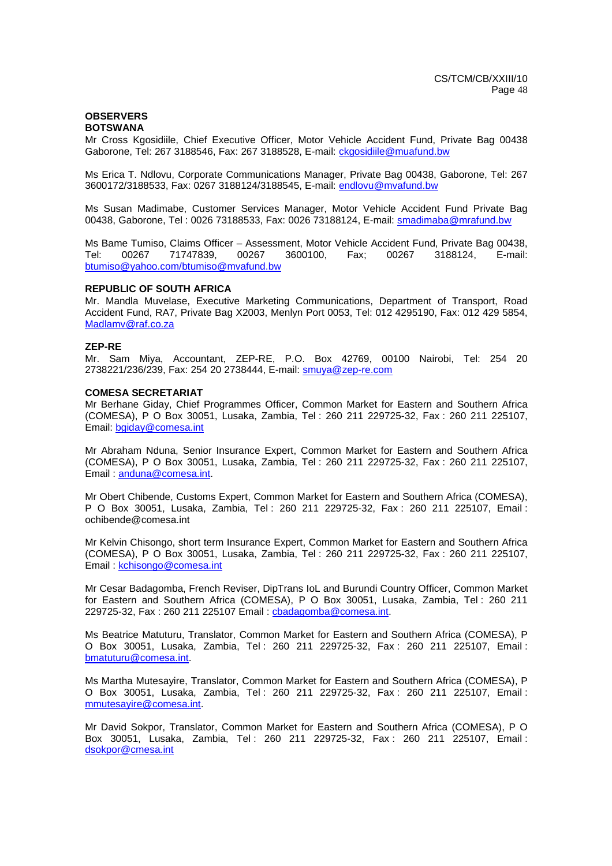#### **OBSERVERS BOTSWANA**

Mr Cross Kgosidiile, Chief Executive Officer, Motor Vehicle Accident Fund, Private Bag 00438 Gaborone, Tel: 267 3188546, Fax: 267 3188528, E-mail: ckgosidiile@muafund.bw

Ms Erica T. Ndlovu, Corporate Communications Manager, Private Bag 00438, Gaborone, Tel: 267 3600172/3188533, Fax: 0267 3188124/3188545, E-mail: endlovu@mvafund.bw

Ms Susan Madimabe, Customer Services Manager, Motor Vehicle Accident Fund Private Bag 00438, Gaborone, Tel : 0026 73188533, Fax: 0026 73188124, E-mail: smadimaba@mrafund.bw

Ms Bame Tumiso, Claims Officer – Assessment, Motor Vehicle Accident Fund, Private Bag 00438, Tel: 00267 71747839, 00267 3600100, Fax; 00267 3188124, E-mail: btumiso@yahoo.com/btumiso@mvafund.bw

#### **REPUBLIC OF SOUTH AFRICA**

Mr. Mandla Muvelase, Executive Marketing Communications, Department of Transport, Road Accident Fund, RA7, Private Bag X2003, Menlyn Port 0053, Tel: 012 4295190, Fax: 012 429 5854, Madlamv@raf.co.za

#### **ZEP-RE**

Mr. Sam Miya, Accountant, ZEP-RE, P.O. Box 42769, 00100 Nairobi, Tel: 254 20 2738221/236/239, Fax: 254 20 2738444, E-mail: smuya@zep-re.com

#### **COMESA SECRETARIAT**

Mr Berhane Giday, Chief Programmes Officer, Common Market for Eastern and Southern Africa (COMESA), P O Box 30051, Lusaka, Zambia, Tel : 260 211 229725-32, Fax : 260 211 225107, Email: bgiday@comesa.int

Mr Abraham Nduna, Senior Insurance Expert, Common Market for Eastern and Southern Africa (COMESA), P O Box 30051, Lusaka, Zambia, Tel : 260 211 229725-32, Fax : 260 211 225107, Email : anduna@comesa.int.

Mr Obert Chibende, Customs Expert, Common Market for Eastern and Southern Africa (COMESA), P O Box 30051, Lusaka, Zambia, Tel : 260 211 229725-32, Fax : 260 211 225107, Email : ochibende@comesa.int

Mr Kelvin Chisongo, short term Insurance Expert, Common Market for Eastern and Southern Africa (COMESA), P O Box 30051, Lusaka, Zambia, Tel : 260 211 229725-32, Fax : 260 211 225107, Email : kchisongo@comesa.int

Mr Cesar Badagomba, French Reviser, DipTrans IoL and Burundi Country Officer, Common Market for Eastern and Southern Africa (COMESA), P O Box 30051, Lusaka, Zambia, Tel : 260 211 229725-32, Fax : 260 211 225107 Email : cbadagomba@comesa.int.

Ms Beatrice Matuturu, Translator, Common Market for Eastern and Southern Africa (COMESA), P O Box 30051, Lusaka, Zambia, Tel : 260 211 229725-32, Fax : 260 211 225107, Email : bmatuturu@comesa.int.

Ms Martha Mutesayire, Translator, Common Market for Eastern and Southern Africa (COMESA), P O Box 30051, Lusaka, Zambia, Tel : 260 211 229725-32, Fax : 260 211 225107, Email : mmutesayire@comesa.int.

Mr David Sokpor, Translator, Common Market for Eastern and Southern Africa (COMESA), P O Box 30051, Lusaka, Zambia, Tel : 260 211 229725-32, Fax : 260 211 225107, Email : dsokpor@cmesa.int